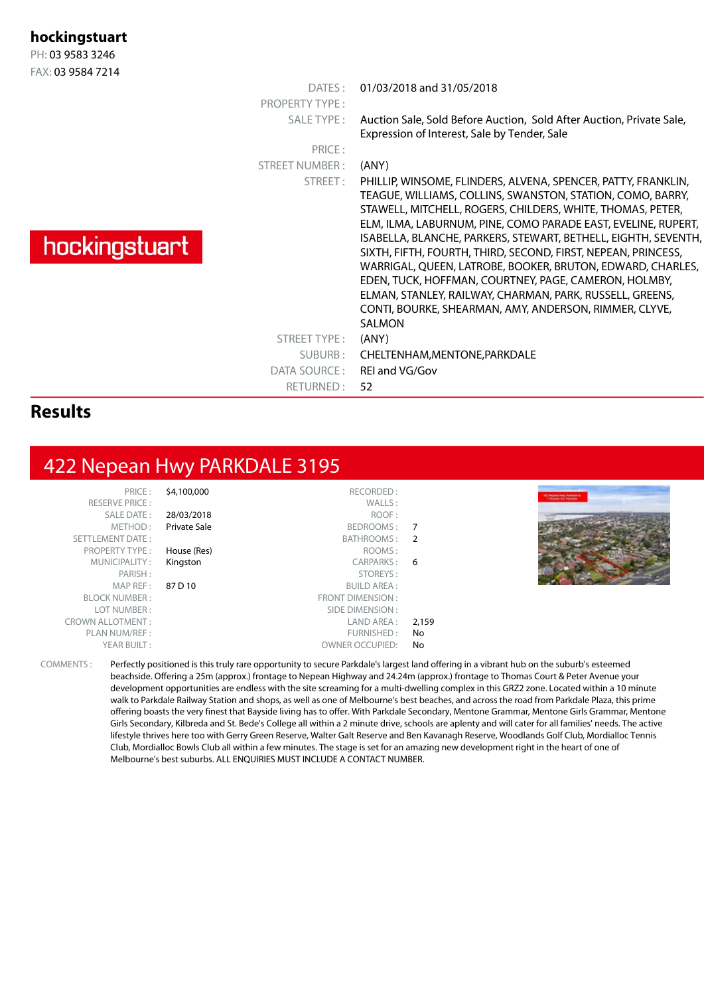#### **hockingstuart**

PH: 03 9583 3246 FAX: 03 9584 7214

| hockingstuart | DATFS:<br><b>PROPERTY TYPE:</b><br><b>SALE TYPE:</b><br>PRICE:<br><b>STREET NUMBER:</b><br>STREET:<br>STREET TYPE:<br>SUBURB:<br>DATA SOURCE:<br>RETURNED: | 01/03/2018 and 31/05/2018<br>Auction Sale, Sold Before Auction, Sold After Auction, Private Sale,<br>Expression of Interest, Sale by Tender, Sale<br>(ANY)<br>PHILLIP, WINSOME, FLINDERS, ALVENA, SPENCER, PATTY, FRANKLIN,<br>TEAGUE, WILLIAMS, COLLINS, SWANSTON, STATION, COMO, BARRY,<br>STAWELL, MITCHELL, ROGERS, CHILDERS, WHITE, THOMAS, PETER,<br>ELM, ILMA, LABURNUM, PINE, COMO PARADE EAST, EVELINE, RUPERT,<br>ISABELLA, BLANCHE, PARKERS, STEWART, BETHELL, EIGHTH, SEVENTH,<br>SIXTH, FIFTH, FOURTH, THIRD, SECOND, FIRST, NEPEAN, PRINCESS,<br>WARRIGAL, QUEEN, LATROBE, BOOKER, BRUTON, EDWARD, CHARLES,<br>EDEN, TUCK, HOFFMAN, COURTNEY, PAGE, CAMERON, HOLMBY,<br>ELMAN, STANLEY, RAILWAY, CHARMAN, PARK, RUSSELL, GREENS,<br>CONTI, BOURKE, SHEARMAN, AMY, ANDERSON, RIMMER, CLYVE,<br><b>SALMON</b><br>(ANY)<br>CHELTENHAM, MENTONE, PARKDALE<br><b>REI and VG/Gov</b><br>52 |
|---------------|------------------------------------------------------------------------------------------------------------------------------------------------------------|----------------------------------------------------------------------------------------------------------------------------------------------------------------------------------------------------------------------------------------------------------------------------------------------------------------------------------------------------------------------------------------------------------------------------------------------------------------------------------------------------------------------------------------------------------------------------------------------------------------------------------------------------------------------------------------------------------------------------------------------------------------------------------------------------------------------------------------------------------------------------------------------------|
|               |                                                                                                                                                            |                                                                                                                                                                                                                                                                                                                                                                                                                                                                                                                                                                                                                                                                                                                                                                                                                                                                                                    |

#### **Results**

#### 422 Nepean Hwy PARKDALE 3195

| PRICE:<br><b>RESERVE PRICE:</b><br>SALE DATE:<br>METHOD:<br>SETTLEMENT DATE:<br><b>PROPERTY TYPE:</b> | \$4,100,000<br>28/03/2018<br>Private Sale<br>House (Res) | RECORDED:<br>WALLS:<br>ROOF:<br>BEDROOMS: 7<br>BATHROOMS: 2<br>ROOMS: |       | <b>CE MASAGE PALL PARADOLE</b><br><b>Thomas CA Purbons</b> |
|-------------------------------------------------------------------------------------------------------|----------------------------------------------------------|-----------------------------------------------------------------------|-------|------------------------------------------------------------|
| MUNICIPALITY:                                                                                         | Kingston                                                 | CARPARKS: 6                                                           |       |                                                            |
| PARISH:                                                                                               |                                                          | STOREYS:                                                              |       |                                                            |
| MAPREF:                                                                                               | 87 D 10                                                  | <b>BUILD AREA:</b>                                                    |       |                                                            |
| <b>BLOCK NUMBER:</b>                                                                                  |                                                          | FRONT DIMENSION:                                                      |       |                                                            |
| LOT NUMBER:                                                                                           |                                                          | SIDE DIMENSION :                                                      |       |                                                            |
| <b>CROWN ALLOTMENT:</b>                                                                               |                                                          | LAND AREA :                                                           | 2.159 |                                                            |
| PLAN NUM/REF :                                                                                        |                                                          | FURNISHED:                                                            | No    |                                                            |
| YEAR BUILT:                                                                                           |                                                          | <b>OWNER OCCUPIED:</b>                                                | No    |                                                            |

COMMENTS : Perfectly positioned is this truly rare opportunity to secure Parkdale's largest land offering in a vibrant hub on the suburb's esteemed beachside. Offering a 25m (approx.) frontage to Nepean Highway and 24.24m (approx.) frontage to Thomas Court & Peter Avenue your development opportunities are endless with the site screaming for a multi-dwelling complex in this GRZ2 zone. Located within a 10 minute walk to Parkdale Railway Station and shops, as well as one of Melbourne's best beaches, and across the road from Parkdale Plaza, this prime offering boasts the very finest that Bayside living has to offer. With Parkdale Secondary, Mentone Grammar, Mentone Girls Grammar, Mentone Girls Secondary, Kilbreda and St. Bede's College all within a 2 minute drive, schools are aplenty and will cater for all families' needs. The active lifestyle thrives here too with Gerry Green Reserve, Walter Galt Reserve and Ben Kavanagh Reserve, Woodlands Golf Club, Mordialloc Tennis Club, Mordialloc Bowls Club all within a few minutes. The stage is set for an amazing new development right in the heart of one of Melbourne's best suburbs. ALL ENQUIRIES MUST INCLUDE A CONTACT NUMBER.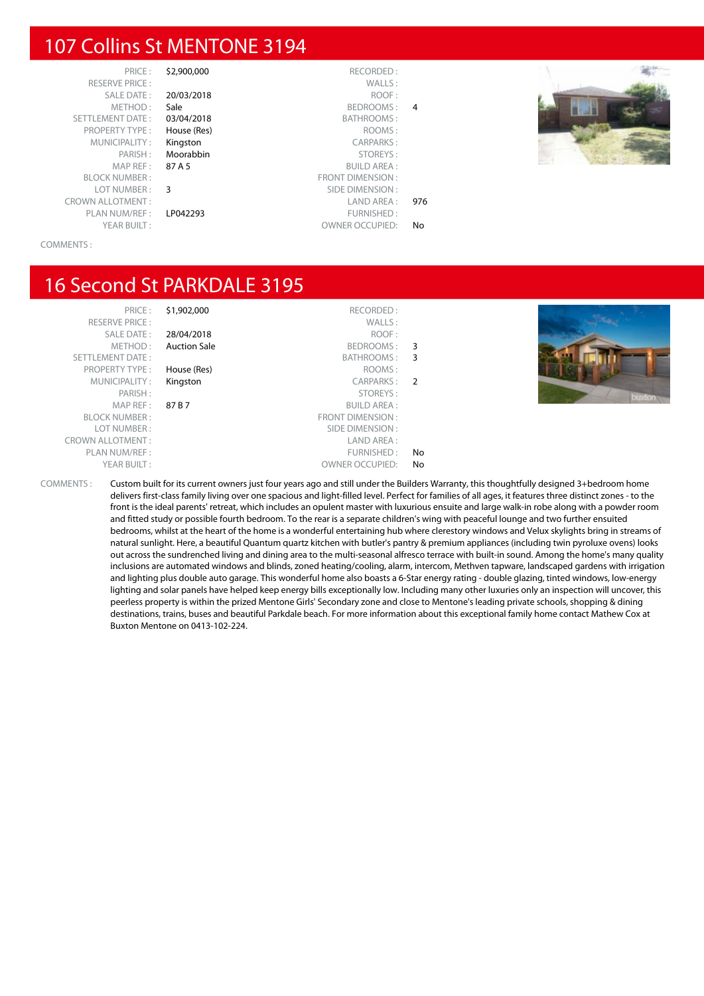#### 107 Collins St MENTONE 3194

RESERVE PRICE : PLAN NUM/REF :<br>YEAR BUILT :

- 
- PRICE : \$2,900,000 RECORDED :<br>PRICE : WALLS : SALE DATE : 20/03/2018 ROOF : METHOD: Sale BEDROOMS: 4 SETTLEMENT DATE: 03/04/2018 BATHROOMS: PROPERTY TYPE : **House (Res)** ROOMS : MUNICIPALITY: Kingston CARPARKS: PARISH : Moorabbin STOREYS : MAP REF : **87 A 5** BUILD AREA :<br>BLOCK NUMBER · **BLOCK NUMBER** · **FRONT DIMENSION** · BLOCK NUMBER : FRONT DIMENSION : **SIDE DIMENSION :** CROWN ALLOTMENT : LAND AREA : 976 OWNER OCCUPIED: No



COMMENTS :

#### 16 Second St PARKDALE 3195

| \$1.9 | PRICE:                  |
|-------|-------------------------|
|       | <b>RESERVE PRICE:</b>   |
| 28/   | SALE DATE:              |
| Auc   | METHOD :                |
|       | <b>SETTLEMENT DATE:</b> |
| Hοι   | PROPERTY TYPE:          |
|       |                         |

PO2,000 RECORDED : RESERVE PRICE : WALLS : SALE DATE : 28/04/2018 ROOF : **Solution Sale Example 3** BEDROOMS : 3 BATHROOMS : 3 PROPERTY TYPE : **House (Res)** ROOMS : MUNICIPALITY: Kingston CARPARKS: 2 PARISH : STOREYS : MAP REF : 87 B 7 BUILD AREA : BLOCK NUMBER : FRONT DIMENSION : LOT NUMBER : SIDE DIMENSION : CROWN ALLOTMENT :<br>PLAN NUM/REF : LAND AREA : LAND AREA : PLAN NUM/REF :  $\blacksquare$ YEAR BUILT :  $OWNER$  OWNER OCCUPIED: No



COMMENTS : Custom built for its current owners just four years ago and still under the Builders Warranty, this thoughtfully designed 3+bedroom home delivers first-class family living over one spacious and light-filled level. Perfect for families of all ages, it features three distinct zones - to the front is the ideal parents' retreat, which includes an opulent master with luxurious ensuite and large walk-in robe along with a powder room and fitted study or possible fourth bedroom. To the rear is a separate children's wing with peaceful lounge and two further ensuited bedrooms, whilst at the heart of the home is a wonderful entertaining hub where clerestory windows and Velux skylights bring in streams of natural sunlight. Here, a beautiful Quantum quartz kitchen with butler's pantry & premium appliances (including twin pyroluxe ovens) looks out across the sundrenched living and dining area to the multi-seasonal alfresco terrace with built-in sound. Among the home's many quality inclusions are automated windows and blinds, zoned heating/cooling, alarm, intercom, Methven tapware, landscaped gardens with irrigation and lighting plus double auto garage. This wonderful home also boasts a 6-Star energy rating - double glazing, tinted windows, low-energy lighting and solar panels have helped keep energy bills exceptionally low. Including many other luxuries only an inspection will uncover, this peerless property is within the prized Mentone Girls' Secondary zone and close to Mentone's leading private schools, shopping & dining destinations, trains, buses and beautiful Parkdale beach. For more information about this exceptional family home contact Mathew Cox at Buxton Mentone on 0413-102-224.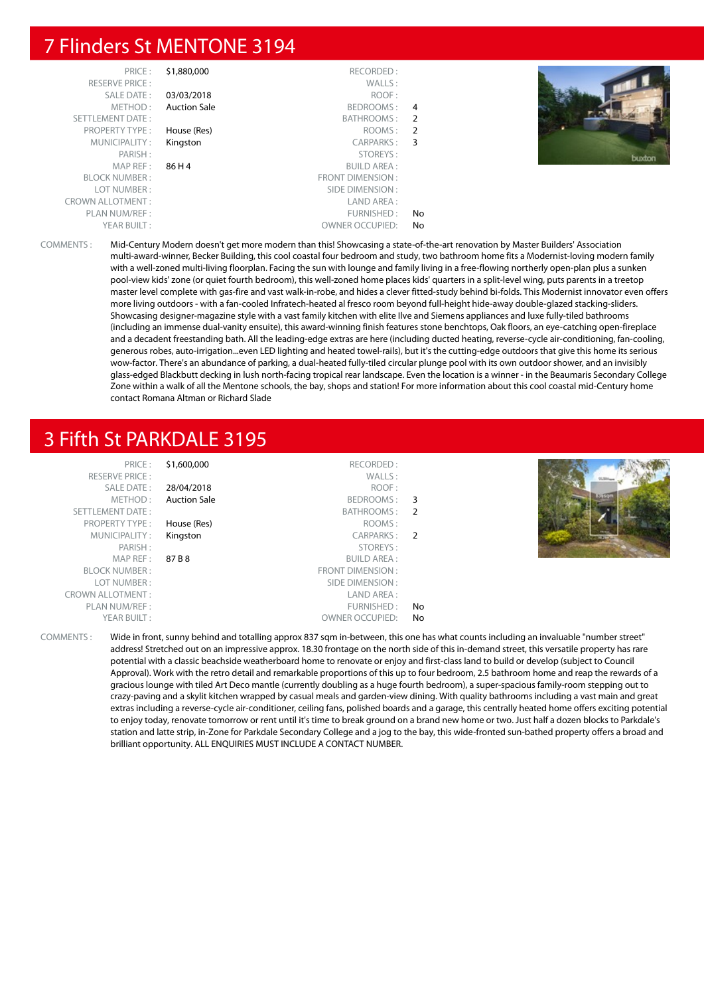#### 7 Flinders St MENTONE 3194

| PRICE:                  | \$1,880,000         | RECORDED:               |                |  |
|-------------------------|---------------------|-------------------------|----------------|--|
| <b>RESERVE PRICE:</b>   |                     | WALLS:                  |                |  |
| <b>SALE DATE:</b>       | 03/03/2018          | ROOF:                   |                |  |
| METHOD:                 | <b>Auction Sale</b> | BEDROOMS:               | 4              |  |
| SETTLEMENT DATE:        |                     | BATHROOMS:              | 2              |  |
| <b>PROPERTY TYPE:</b>   | House (Res)         | ROOMS:                  | $\overline{2}$ |  |
| MUNICIPALITY:           | Kingston            | CARPARKS:               | 3              |  |
| PARISH:                 |                     | STOREYS:                |                |  |
| MAP REF:                | 86 H 4              | <b>BUILD AREA:</b>      |                |  |
| <b>BLOCK NUMBER:</b>    |                     | <b>FRONT DIMENSION:</b> |                |  |
| LOT NUMBER:             |                     | SIDE DIMENSION:         |                |  |
| <b>CROWN ALLOTMENT:</b> |                     | LAND AREA:              |                |  |
| PLAN NUM/REF :          |                     | FURNISHED:              | No             |  |
| YEAR BUILT:             |                     | <b>OWNER OCCUPIED:</b>  | No             |  |



COMMENTS : Mid-Century Modern doesn't get more modern than this! Showcasing a state-of-the-art renovation by Master Builders' Association multi-award-winner, Becker Building, this cool coastal four bedroom and study, two bathroom home fits a Modernist-loving modern family with a well-zoned multi-living floorplan. Facing the sun with lounge and family living in a free-flowing northerly open-plan plus a sunken pool-view kids' zone (or quiet fourth bedroom), this well-zoned home places kids' quarters in a split-level wing, puts parents in a treetop master level complete with gas-fire and vast walk-in-robe, and hides a clever fitted-study behind bi-folds. This Modernist innovator even offers more living outdoors - with a fan-cooled Infratech-heated al fresco room beyond full-height hide-away double-glazed stacking-sliders. Showcasing designer-magazine style with a vast family kitchen with elite Ilve and Siemens appliances and luxe fully-tiled bathrooms (including an immense dual-vanity ensuite), this award-winning finish features stone benchtops, Oak floors, an eye-catching open-fireplace and a decadent freestanding bath. All the leading-edge extras are here (including ducted heating, reverse-cycle air-conditioning, fan-cooling, generous robes, auto-irrigation...even LED lighting and heated towel-rails), but it's the cutting-edge outdoors that give this home its serious wow-factor. There's an abundance of parking, a dual-heated fully-tiled circular plunge pool with its own outdoor shower, and an invisibly glass-edged Blackbutt decking in lush north-facing tropical rear landscape. Even the location is a winner - in the Beaumaris Secondary College Zone within a walk of all the Mentone schools, the bay, shops and station! For more information about this cool coastal mid-Century home contact Romana Altman or Richard Slade

#### 3 Fifth St PARKDALE 3195

PRICE: \$1,600,000 RESERVE PRICE  $\cdot$ SALE DATE: 28/04/2018 METHOD: Auction Sale SETTLEMENT DATE: PROPERTY TYPE : House (Res) MUNICIPALITY : Kingston PARISH: BLOCK NUMBER: LOT NUMBER : CROWN ALLOTMENT : PLAN NUM/RFF $\cdot$ YEAR BUILT:

|     | RECORDED:               | \$1,600,000         | PRICE:                    |
|-----|-------------------------|---------------------|---------------------------|
|     | WALLS:                  |                     | <b>VE PRICE:</b>          |
|     | ROOF:                   | 28/04/2018          | <b>NLE DATE :</b>         |
| 3   | BEDROOMS:               | <b>Auction Sale</b> | METHOD:                   |
| 2   | BATHROOMS:              |                     | NT DATE:                  |
|     | ROOMS:                  | House (Res)         | <b>RTY TYPE:</b>          |
| 2   | CARPARKS:               | Kingston            | CIPALITY:                 |
|     | STOREYS:                |                     | PARISH:                   |
|     | <b>BUILD AREA:</b>      | 87 B 8              | MAP REF:                  |
|     | <b>FRONT DIMENSION:</b> |                     | NUMBER:                   |
|     | SIDE DIMENSION:         |                     | NUMBER:                   |
|     | LAND AREA:              |                     | OTMENT:                   |
| No. | FURNISHED:              |                     | <b>NUM/REF :</b>          |
| Nο  | OWNER OCCUPIED:         |                     | $AR$ $R$ $I$ $II$ $T$ $:$ |



COMMENTS : Wide in front, sunny behind and totalling approx 837 sqm in-between, this one has what counts including an invaluable "number street" address! Stretched out on an impressive approx. 18.30 frontage on the north side of this in-demand street, this versatile property has rare potential with a classic beachside weatherboard home to renovate or enjoy and first-class land to build or develop (subject to Council Approval). Work with the retro detail and remarkable proportions of this up to four bedroom, 2.5 bathroom home and reap the rewards of a gracious lounge with tiled Art Deco mantle (currently doubling as a huge fourth bedroom), a super-spacious family-room stepping out to crazy-paving and a skylit kitchen wrapped by casual meals and garden-view dining. With quality bathrooms including a vast main and great extras including a reverse-cycle air-conditioner, ceiling fans, polished boards and a garage, this centrally heated home offers exciting potential to enjoy today, renovate tomorrow or rent until it's time to break ground on a brand new home or two. Just half a dozen blocks to Parkdale's station and latte strip, in-Zone for Parkdale Secondary College and a jog to the bay, this wide-fronted sun-bathed property offers a broad and brilliant opportunity. ALL ENQUIRIES MUST INCLUDE A CONTACT NUMBER.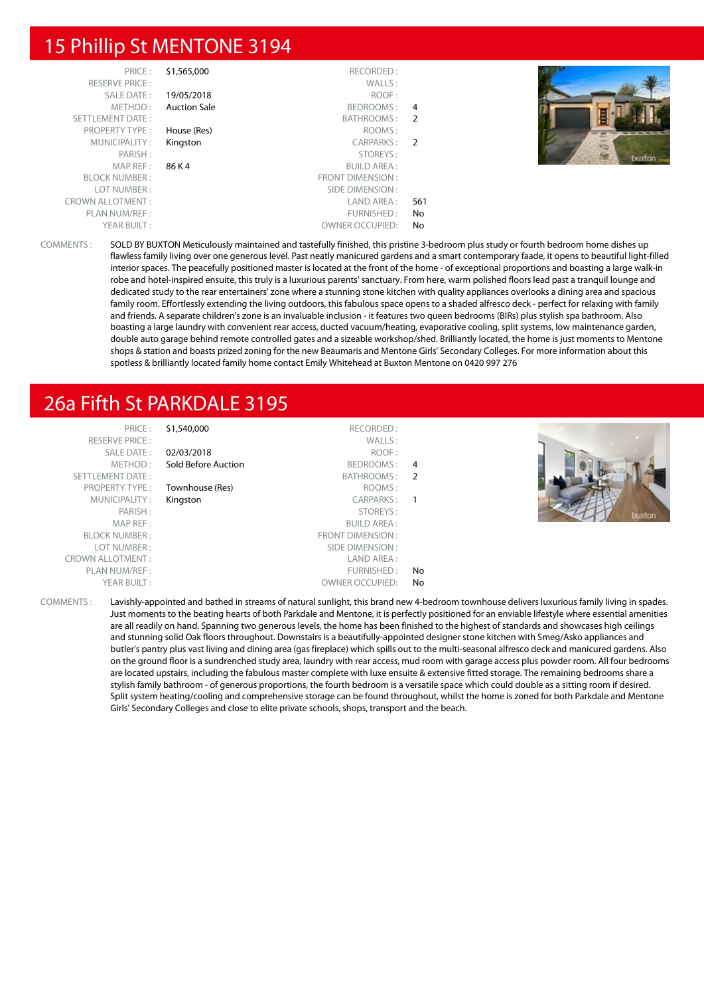#### 15 Phillip St MENTONE 3194

| PRICE:                  | \$1,565,000         | RECORDED:              |                |  |
|-------------------------|---------------------|------------------------|----------------|--|
| <b>RESERVE PRICE:</b>   |                     | WALLS:                 |                |  |
| SALE DATE:              | 19/05/2018          | ROOF:                  |                |  |
| METHOD:                 | <b>Auction Sale</b> | BEDROOMS:              | 4              |  |
| <b>SETTLEMENT DATE:</b> |                     | BATHROOMS:             | -2             |  |
| <b>PROPERTY TYPE:</b>   | House (Res)         | ROOMS:                 |                |  |
| MUNICIPALITY:           | Kingston            | CARPARKS:              | $\overline{2}$ |  |
| PARISH:                 |                     | STOREYS:               |                |  |
| MAP REF :               | 86 K 4              | <b>BUILD AREA:</b>     |                |  |
| <b>BLOCK NUMBER:</b>    |                     | FRONT DIMENSION:       |                |  |
| LOT NUMBER:             |                     | SIDE DIMENSION:        |                |  |
| <b>CROWN ALLOTMENT:</b> |                     | LAND AREA :            | 561            |  |
| PLAN NUM/REF:           |                     | FURNISHED:             | No             |  |
| YEAR BUILT:             |                     | <b>OWNER OCCUPIED:</b> | No             |  |



COMMENTS : SOLD BY BUXTON Meticulously maintained and tastefully finished, this pristine 3-bedroom plus study or fourth bedroom home dishes up flawless family living over one generous level. Past neatly manicured gardens and a smart contemporary faade, it opens to beautiful light-filled interior spaces. The peacefully positioned master is located at the front of the home - of exceptional proportions and boasting a large walk-in robe and hotel-inspired ensuite, this truly is a luxurious parents' sanctuary. From here, warm polished floors lead past a tranquil lounge and dedicated study to the rear entertainers' zone where a stunning stone kitchen with quality appliances overlooks a dining area and spacious family room. Effortlessly extending the living outdoors, this fabulous space opens to a shaded alfresco deck - perfect for relaxing with family and friends. A separate children's zone is an invaluable inclusion - it features two queen bedrooms (BIRs) plus stylish spa bathroom. Also boasting a large laundry with convenient rear access, ducted vacuum/heating, evaporative cooling, split systems, low maintenance garden, double auto garage behind remote controlled gates and a sizeable workshop/shed. Brilliantly located, the home is just moments to Mentone shops & station and boasts prized zoning for the new Beaumaris and Mentone Girls' Secondary Colleges. For more information about this spotless & brilliantly located family home contact Emily Whitehead at Buxton Mentone on 0420 997 276

#### 26a Fifth St PARKDALE 3195

| PRICE:                  | \$1,540,000         | RECORDED:              |                |        |
|-------------------------|---------------------|------------------------|----------------|--------|
| <b>RESERVE PRICE:</b>   |                     | WALLS:                 |                |        |
| SALE DATE:              | 02/03/2018          | ROOF:                  |                |        |
| METHOD:                 | Sold Before Auction | BEDROOMS:              | $\overline{4}$ |        |
| SETTLEMENT DATE:        |                     | BATHROOMS: 2           |                |        |
| <b>PROPERTY TYPE:</b>   | Townhouse (Res)     | ROOMS:                 |                |        |
| MUNICIPALITY:           | Kingston            | CARPARKS:              | - 1            |        |
| PARISH:                 |                     | STOREYS:               |                | buxton |
| MAP REF:                |                     | <b>BUILD AREA:</b>     |                |        |
| <b>BLOCK NUMBER:</b>    |                     | FRONT DIMENSION:       |                |        |
| LOT NUMBER:             |                     | SIDE DIMENSION :       |                |        |
| <b>CROWN ALLOTMENT:</b> |                     | LAND AREA:             |                |        |
| PLAN NUM/REF :          |                     | FURNISHED:             | No             |        |
| YEAR BUILT:             |                     | <b>OWNER OCCUPIED:</b> | No             |        |

COMMENTS : Lavishly-appointed and bathed in streams of natural sunlight, this brand new 4-bedroom townhouse delivers luxurious family living in spades. Just moments to the beating hearts of both Parkdale and Mentone, it is perfectly positioned for an enviable lifestyle where essential amenities are all readily on hand. Spanning two generous levels, the home has been finished to the highest of standards and showcases high ceilings and stunning solid Oak floors throughout. Downstairs is a beautifully-appointed designer stone kitchen with Smeg/Asko appliances and butler's pantry plus vast living and dining area (gas fireplace) which spills out to the multi-seasonal alfresco deck and manicured gardens. Also on the ground floor is a sundrenched study area, laundry with rear access, mud room with garage access plus powder room. All four bedrooms are located upstairs, including the fabulous master complete with luxe ensuite & extensive fitted storage. The remaining bedrooms share a stylish family bathroom - of generous proportions, the fourth bedroom is a versatile space which could double as a sitting room if desired. Split system heating/cooling and comprehensive storage can be found throughout, whilst the home is zoned for both Parkdale and Mentone Girls' Secondary Colleges and close to elite private schools, shops, transport and the beach.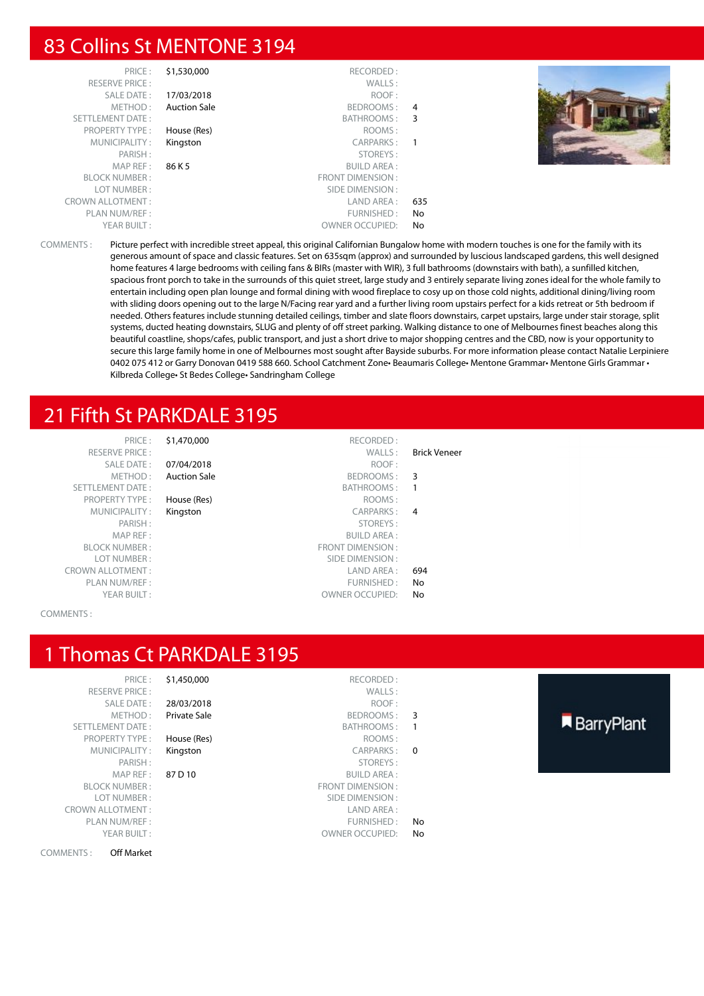#### 83 Collins St MENTONE 3194

| PRICE:                  | \$1,530,000         | RECORDED:              |     |  |
|-------------------------|---------------------|------------------------|-----|--|
| <b>RESERVE PRICE:</b>   |                     | WALLS:                 |     |  |
| SALE DATE:              | 17/03/2018          | ROOF:                  |     |  |
| METHOD:                 | <b>Auction Sale</b> | BEDROOMS:              | 4   |  |
| <b>SETTLEMENT DATE:</b> |                     | BATHROOMS:             | 3   |  |
| <b>PROPERTY TYPE:</b>   | House (Res)         | ROOMS:                 |     |  |
| MUNICIPALITY:           | Kingston            | CARPARKS:              | -1  |  |
| PARISH:                 |                     | STOREYS:               |     |  |
| MAP REF:                | 86 K 5              | <b>BUILD AREA:</b>     |     |  |
| <b>BLOCK NUMBER:</b>    |                     | FRONT DIMENSION:       |     |  |
| LOT NUMBER:             |                     | SIDE DIMENSION:        |     |  |
| <b>CROWN ALLOTMENT:</b> |                     | LAND AREA :            | 635 |  |
| PLAN NUM/REF:           |                     | FURNISHED:             | No  |  |
| YEAR BUILT:             |                     | <b>OWNER OCCUPIED:</b> | No  |  |



COMMENTS : Picture perfect with incredible street appeal, this original Californian Bungalow home with modern touches is one for the family with its generous amount of space and classic features. Set on 635sqm (approx) and surrounded by luscious landscaped gardens, this well designed home features 4 large bedrooms with ceiling fans & BIRs (master with WIR), 3 full bathrooms (downstairs with bath), a sunfilled kitchen, spacious front porch to take in the surrounds of this quiet street, large study and 3 entirely separate living zones ideal for the whole family to entertain including open plan lounge and formal dining with wood fireplace to cosy up on those cold nights, additional dining/living room with sliding doors opening out to the large N/Facing rear yard and a further living room upstairs perfect for a kids retreat or 5th bedroom if needed. Others features include stunning detailed ceilings, timber and slate floors downstairs, carpet upstairs, large under stair storage, split systems, ducted heating downstairs, SLUG and plenty of off street parking. Walking distance to one of Melbournes finest beaches along this beautiful coastline, shops/cafes, public transport, and just a short drive to major shopping centres and the CBD, now is your opportunity to secure this large family home in one of Melbournes most sought after Bayside suburbs. For more information please contact Natalie Lerpiniere 0402 075 412 or Garry Donovan 0419 588 660. School Catchment Zone• Beaumaris College• Mentone Grammar• Mentone Girls Grammar • Kilbreda College• St Bedes College• Sandringham College

#### 21 Fifth St PARKDALE 3195

| PRICE                 |
|-----------------------|
| RESERVE PRICE         |
| <b>SALE DATE</b>      |
| <b>METHOD</b>         |
| SETTLEMENT DATE       |
| PROPERTY TYPE         |
| <b>MUNICIPALITY</b>   |
| PARISH                |
| MAP REF               |
| <b>BLOCK NUMBER</b>   |
| <b>LOT NUMBER</b>     |
| <b>ROWN ALLOTMENT</b> |
| PLAN NUM/REF          |
| YEAR BUILT            |
|                       |

|                     | RECORDED:               | \$1,470,000         | PRICE:                  |
|---------------------|-------------------------|---------------------|-------------------------|
| <b>Brick Veneer</b> | WALLS:                  |                     | <b>RESERVE PRICE:</b>   |
|                     | ROOF:                   | 07/04/2018          | <b>SALE DATE:</b>       |
| 3                   | BEDROOMS:               | <b>Auction Sale</b> | METHOD:                 |
| 1                   | <b>BATHROOMS:</b>       |                     | <b>SETTLEMENT DATE:</b> |
|                     | ROOMS:                  | House (Res)         | <b>PROPERTY TYPE:</b>   |
| 4                   | CARPARKS:               | Kingston            | MUNICIPALITY:           |
|                     | STOREYS:                |                     | PARISH:                 |
|                     | <b>BUILD AREA:</b>      |                     | MAP REF:                |
|                     | <b>FRONT DIMENSION:</b> |                     | <b>BLOCK NUMBER:</b>    |
|                     | SIDE DIMENSION:         |                     | LOT NUMBER:             |
| 694                 | LAND AREA:              |                     | $CROWN$ all $OTMENT:$   |
| No                  | FURNISHED:              |                     | PLAN NUM/REF :          |
| No                  | <b>OWNER OCCUPIED:</b>  |                     | YEAR BUILT:             |

COMMENTS :

#### 1 Thomas Ct PARKDALE 3195

PRICE : \$1,450,000 RECORDED : RESERVE PRICE : WALLS : SETTLEMENT DATE : SETTLEMENT DATE : SATHROOMS : 1 PROPERTY TYPE : **House (Res)** ROOMS : MUNICIPALITY: Kingston CARPARKS: 0 CROWN ALLOTMENT:

28/03/2018 METHOD : **Private Sale** BEDROOMS : 3

# PARISH : STOREYS : 87 D 10 BUILD AREA :





COMMENTS : Off Market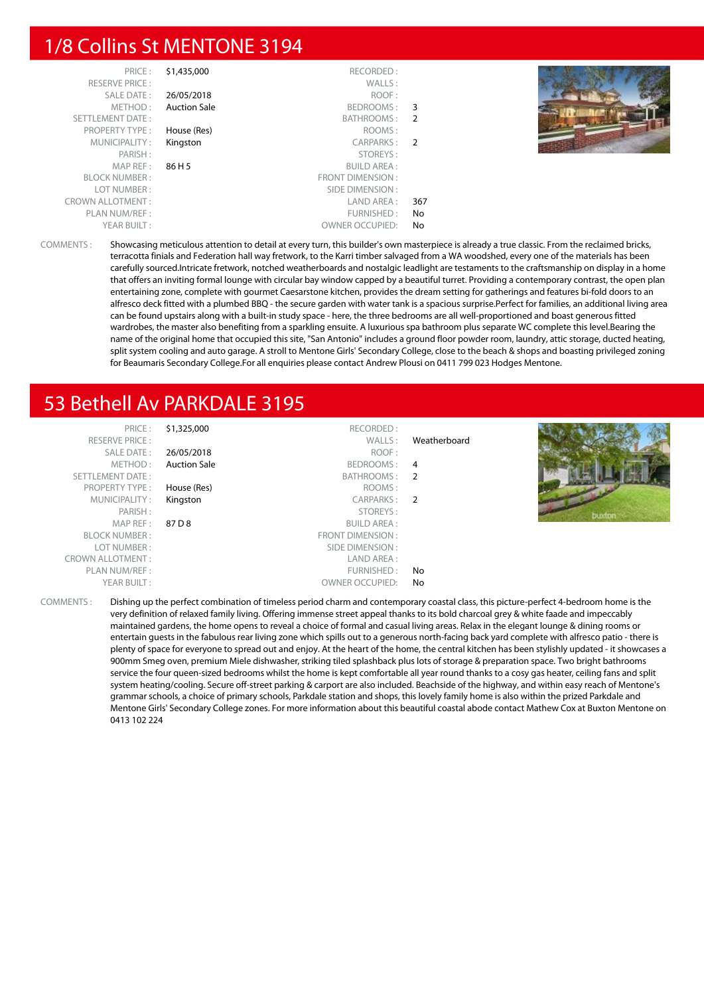#### 1/8 Collins St MENTONE 3194

| PRICE:                  | \$1,435,000         | RECORDED:              |     |  |
|-------------------------|---------------------|------------------------|-----|--|
| <b>RESERVE PRICE:</b>   |                     | WALLS:                 |     |  |
| SALE DATE:              | 26/05/2018          | ROOF:                  |     |  |
| METHOD:                 | <b>Auction Sale</b> | BEDROOMS: 3            |     |  |
| SETTLEMENT DATE:        |                     | BATHROOMS: 2           |     |  |
| <b>PROPERTY TYPE:</b>   | House (Res)         | ROOMS:                 |     |  |
| MUNICIPALITY:           | Kingston            | CARPARKS: 2            |     |  |
| PARISH:                 |                     | STOREYS:               |     |  |
| MAP REF :               | 86 H 5              | <b>BUILD AREA:</b>     |     |  |
| <b>BLOCK NUMBER:</b>    |                     | FRONT DIMENSION:       |     |  |
| LOT NUMBER:             |                     | SIDE DIMENSION :       |     |  |
| <b>CROWN ALLOTMENT:</b> |                     | LAND AREA :            | 367 |  |
| PLAN NUM/REF :          |                     | FURNISHED:             | No  |  |
| YEAR BUILT:             |                     | <b>OWNER OCCUPIED:</b> | No  |  |

COMMENTS : Showcasing meticulous attention to detail at every turn, this builder's own masterpiece is already a true classic. From the reclaimed bricks, terracotta finials and Federation hall way fretwork, to the Karri timber salvaged from a WA woodshed, every one of the materials has been carefully sourced.Intricate fretwork, notched weatherboards and nostalgic leadlight are testaments to the craftsmanship on display in a home that offers an inviting formal lounge with circular bay window capped by a beautiful turret. Providing a contemporary contrast, the open plan entertaining zone, complete with gourmet Caesarstone kitchen, provides the dream setting for gatherings and features bi-fold doors to an alfresco deck fitted with a plumbed BBQ - the secure garden with water tank is a spacious surprise.Perfect for families, an additional living area can be found upstairs along with a built-in study space - here, the three bedrooms are all well-proportioned and boast generous fitted wardrobes, the master also benefiting from a sparkling ensuite. A luxurious spa bathroom plus separate WC complete this level.Bearing the name of the original home that occupied this site, "San Antonio" includes a ground floor powder room, laundry, attic storage, ducted heating, split system cooling and auto garage. A stroll to Mentone Girls' Secondary College, close to the beach & shops and boasting privileged zoning for Beaumaris Secondary College.For all enquiries please contact Andrew Plousi on 0411 799 023 Hodges Mentone.

#### 53 Bethell Av PARKDALE 3195

| PRICE:                  | \$1,325,000         | RECORDED:               |              |          |
|-------------------------|---------------------|-------------------------|--------------|----------|
| <b>RESERVE PRICE:</b>   |                     | WALLS:                  | Weatherboard |          |
| SALE DATE:              | 26/05/2018          | ROOF:                   |              |          |
| METHOD:                 | <b>Auction Sale</b> | BEDROOMS: 4             |              |          |
| SETTLEMENT DATE:        |                     | BATHROOMS: 2            |              |          |
| <b>PROPERTY TYPE:</b>   | House (Res)         | ROOMS:                  |              |          |
| MUNICIPALITY:           | Kingston            | CARPARKS: 2             |              |          |
| PARISH:                 |                     | STOREYS:                |              | buxton : |
| MAP REF :               | 87 D 8              | <b>BUILD AREA:</b>      |              |          |
| <b>BLOCK NUMBER:</b>    |                     | <b>FRONT DIMENSION:</b> |              |          |
| LOT NUMBER:             |                     | SIDE DIMENSION :        |              |          |
| <b>CROWN ALLOTMENT:</b> |                     | LAND AREA:              |              |          |
| PLAN NUM/REF :          |                     | FURNISHED:              | No.          |          |
| YEAR BUILT:             |                     | <b>OWNER OCCUPIED:</b>  | No           |          |
|                         |                     |                         |              |          |

COMMENTS : Dishing up the perfect combination of timeless period charm and contemporary coastal class, this picture-perfect 4-bedroom home is the very definition of relaxed family living. Offering immense street appeal thanks to its bold charcoal grey & white faade and impeccably maintained gardens, the home opens to reveal a choice of formal and casual living areas. Relax in the elegant lounge & dining rooms or entertain guests in the fabulous rear living zone which spills out to a generous north-facing back yard complete with alfresco patio - there is plenty of space for everyone to spread out and enjoy. At the heart of the home, the central kitchen has been stylishly updated - it showcases a 900mm Smeg oven, premium Miele dishwasher, striking tiled splashback plus lots of storage & preparation space. Two bright bathrooms service the four queen-sized bedrooms whilst the home is kept comfortable all year round thanks to a cosy gas heater, ceiling fans and split system heating/cooling. Secure off-street parking & carport are also included. Beachside of the highway, and within easy reach of Mentone's grammar schools, a choice of primary schools, Parkdale station and shops, this lovely family home is also within the prized Parkdale and Mentone Girls' Secondary College zones. For more information about this beautiful coastal abode contact Mathew Cox at Buxton Mentone on 0413 102 224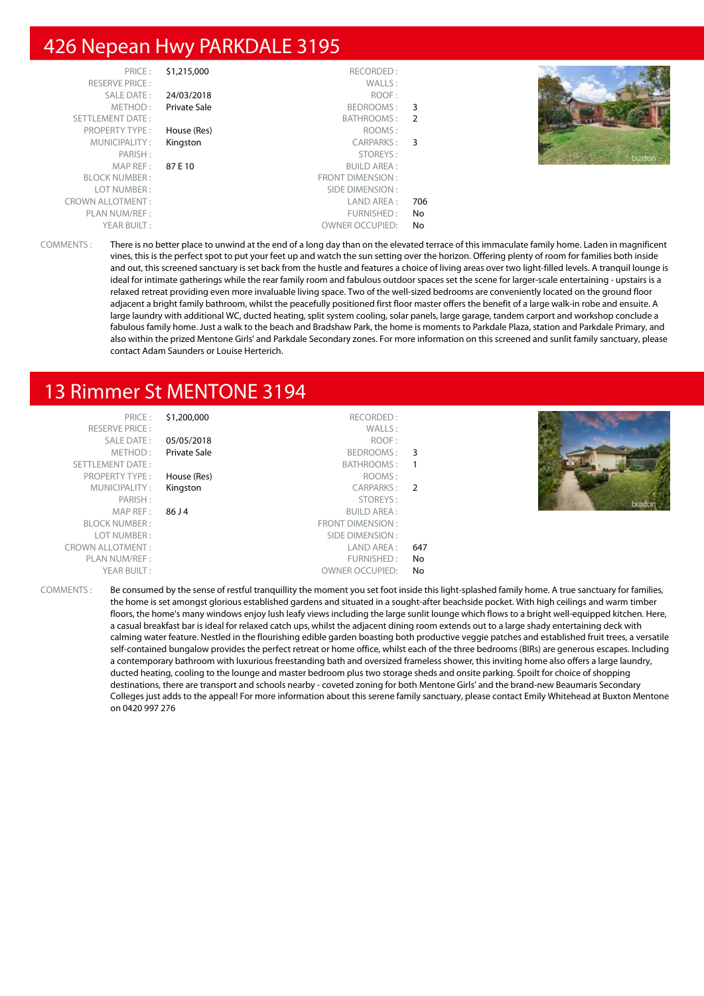#### 426 Nepean Hwy PARKDALE 3195

| PRICE:<br><b>RESERVE PRICE:</b> | \$1,215,000  | RECORDED:<br>WALLS:    |                         |  |
|---------------------------------|--------------|------------------------|-------------------------|--|
| SALE DATE:                      | 24/03/2018   | ROOF:                  |                         |  |
| METHOD:                         | Private Sale | BEDROOMS:              | $\overline{\mathbf{3}}$ |  |
| SETTLEMENT DATE:                |              | BATHROOMS:             | 2                       |  |
| <b>PROPERTY TYPE:</b>           | House (Res)  | ROOMS:                 |                         |  |
| MUNICIPALITY:                   | Kingston     | CARPARKS:              | $\overline{\mathbf{3}}$ |  |
| PARISH:                         |              | STOREYS:               |                         |  |
| MAP REF :                       | 87 E 10      | <b>BUILD AREA:</b>     |                         |  |
| <b>BLOCK NUMBER:</b>            |              | FRONT DIMENSION:       |                         |  |
| LOT NUMBER:                     |              | SIDE DIMENSION :       |                         |  |
| <b>CROWN ALLOTMENT:</b>         |              | LAND AREA :            | 706                     |  |
| PLAN NUM/REF :                  |              | FURNISHED:             | No                      |  |
| YEAR BUILT:                     |              | <b>OWNER OCCUPIED:</b> | No                      |  |

COMMENTS : There is no better place to unwind at the end of a long day than on the elevated terrace of this immaculate family home. Laden in magnificent vines, this is the perfect spot to put your feet up and watch the sun setting over the horizon. Offering plenty of room for families both inside and out, this screened sanctuary is set back from the hustle and features a choice of living areas over two light-filled levels. A tranquil lounge is ideal for intimate gatherings while the rear family room and fabulous outdoor spaces set the scene for larger-scale entertaining - upstairs is a relaxed retreat providing even more invaluable living space. Two of the well-sized bedrooms are conveniently located on the ground floor adjacent a bright family bathroom, whilst the peacefully positioned first floor master offers the benefit of a large walk-in robe and ensuite. A large laundry with additional WC, ducted heating, split system cooling, solar panels, large garage, tandem carport and workshop conclude a fabulous family home. Just a walk to the beach and Bradshaw Park, the home is moments to Parkdale Plaza, station and Parkdale Primary, and also within the prized Mentone Girls' and Parkdale Secondary zones. For more information on this screened and sunlit family sanctuary, please contact Adam Saunders or Louise Herterich.

#### 13 Rimmer St MENTONE 3194

| PRICE:<br><b>RESERVE PRICE:</b><br><b>SALE DATE:</b><br>METHOD:<br>SETTLEMENT DATE:<br><b>PROPERTY TYPE:</b><br>MUNICIPALITY:<br>PARISH:<br>MAP REF:<br><b>BLOCK NUMBER:</b><br>LOT NUMBER:<br><b>CROWN ALLOTMENT:</b><br>PLAN NUM/REF: | \$1,200,000<br>05/05/2018<br><b>Private Sale</b><br>House (Res)<br>Kingston<br>86 J 4 | RECORDED:<br>WALLS:<br>ROOF:<br>BEDROOMS: 3<br>BATHROOMS:<br>ROOMS:<br>CARPARKS: 2<br>STOREYS:<br><b>BUILD AREA:</b><br>FRONT DIMENSION :<br>SIDE DIMENSION :<br>LAND AREA :<br>FURNISHED: | 647<br>No |  |
|-----------------------------------------------------------------------------------------------------------------------------------------------------------------------------------------------------------------------------------------|---------------------------------------------------------------------------------------|--------------------------------------------------------------------------------------------------------------------------------------------------------------------------------------------|-----------|--|
| YEAR BUILT:                                                                                                                                                                                                                             |                                                                                       | <b>OWNER OCCUPIED:</b>                                                                                                                                                                     | No        |  |

COMMENTS : Be consumed by the sense of restful tranquillity the moment you set foot inside this light-splashed family home. A true sanctuary for families, the home is set amongst glorious established gardens and situated in a sought-after beachside pocket. With high ceilings and warm timber floors, the home's many windows enjoy lush leafy views including the large sunlit lounge which flows to a bright well-equipped kitchen. Here, a casual breakfast bar is ideal for relaxed catch ups, whilst the adjacent dining room extends out to a large shady entertaining deck with calming water feature. Nestled in the flourishing edible garden boasting both productive veggie patches and established fruit trees, a versatile self-contained bungalow provides the perfect retreat or home office, whilst each of the three bedrooms (BIRs) are generous escapes. Including a contemporary bathroom with luxurious freestanding bath and oversized frameless shower, this inviting home also offers a large laundry, ducted heating, cooling to the lounge and master bedroom plus two storage sheds and onsite parking. Spoilt for choice of shopping destinations, there are transport and schools nearby - coveted zoning for both Mentone Girls' and the brand-new Beaumaris Secondary Colleges just adds to the appeal! For more information about this serene family sanctuary, please contact Emily Whitehead at Buxton Mentone on 0420 997 276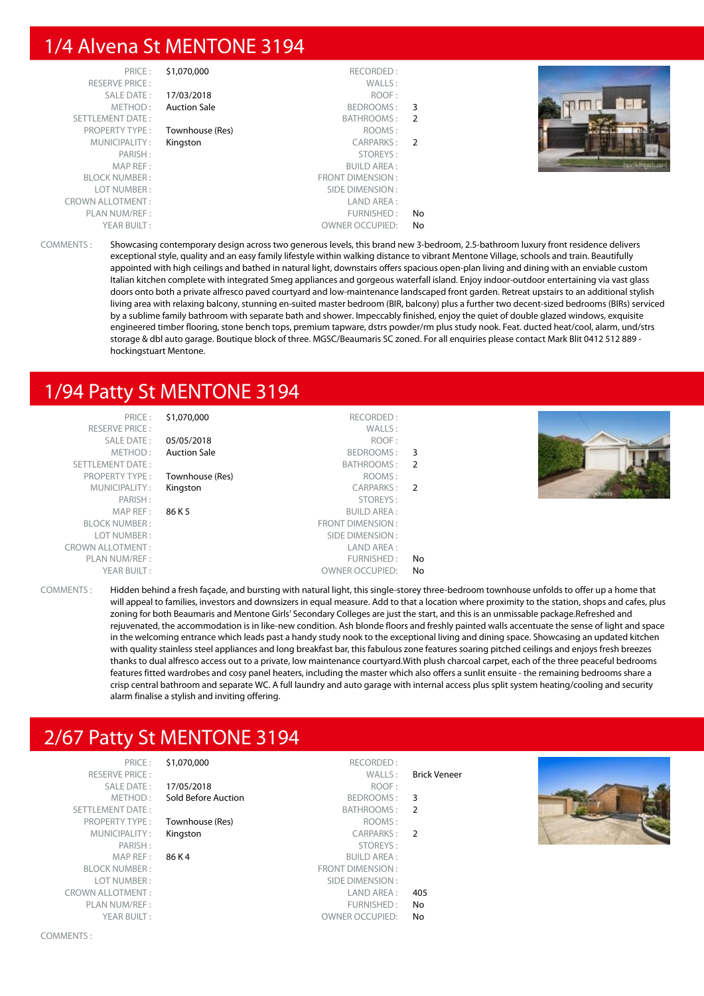#### 1/4 Alvena St MENTONE 3194

| PRICE:                  | \$1,070,000         | RECORDED:               |               |  |
|-------------------------|---------------------|-------------------------|---------------|--|
| <b>RESERVE PRICE:</b>   |                     | WALLS:                  |               |  |
| <b>SALE DATE:</b>       | 17/03/2018          | ROOF:                   |               |  |
| METHOD:                 | <b>Auction Sale</b> | BEDROOMS:               | 3             |  |
| <b>SETTLEMENT DATE:</b> |                     | BATHROOMS:              | 2             |  |
| <b>PROPERTY TYPE:</b>   | Townhouse (Res)     | ROOMS:                  |               |  |
| MUNICIPALITY:           | Kingston            | CARPARKS:               | $\mathcal{P}$ |  |
| PARISH:                 |                     | STOREYS:                |               |  |
| MAP REF:                |                     | <b>BUILD AREA:</b>      |               |  |
| <b>BLOCK NUMBER:</b>    |                     | <b>FRONT DIMENSION:</b> |               |  |
| LOT NUMBER:             |                     | SIDE DIMENSION :        |               |  |
| <b>CROWN ALLOTMENT:</b> |                     | LAND AREA:              |               |  |
| PLAN NUM/REF:           |                     | FURNISHED:              | No            |  |
| YEAR BUILT:             |                     | <b>OWNER OCCUPIED:</b>  | No            |  |



COMMENTS : Showcasing contemporary design across two generous levels, this brand new 3-bedroom, 2.5-bathroom luxury front residence delivers exceptional style, quality and an easy family lifestyle within walking distance to vibrant Mentone Village, schools and train. Beautifully appointed with high ceilings and bathed in natural light, downstairs offers spacious open-plan living and dining with an enviable custom Italian kitchen complete with integrated Smeg appliances and gorgeous waterfall island. Enjoy indoor-outdoor entertaining via vast glass doors onto both a private alfresco paved courtyard and low-maintenance landscaped front garden. Retreat upstairs to an additional stylish living area with relaxing balcony, stunning en-suited master bedroom (BIR, balcony) plus a further two decent-sized bedrooms (BIRs) serviced by a sublime family bathroom with separate bath and shower. Impeccably finished, enjoy the quiet of double glazed windows, exquisite engineered timber flooring, stone bench tops, premium tapware, dstrs powder/rm plus study nook. Feat. ducted heat/cool, alarm, und/strs storage & dbl auto garage. Boutique block of three. MGSC/Beaumaris SC zoned. For all enquiries please contact Mark Blit 0412 512 889 hockingstuart Mentone.

## 1/94 Patty St MENTONE 3194

PRICE : \$1,070,000 RECORDED : RESERVE PRICE : WALLS : SALE DATE : 05/05/2018 ROOF : METHOD : **Auction Sale BEDROOMS** : 3 SETTLEMENT DATE : SETTLEMENT DATE : SATHROOMS : 2 PROPERTY TYPE : Townhouse (Res) ROOMS : MUNICIPALITY: Kingston CARPARKS: 2 PARISH : STOREYS : STOREYS : STOREYS : STOREYS : STOREYS : STOREYS : STOREYS : SUILD AREA : **BUILD AREA:** BLOCK NUMBER : FRONT DIMENSION :<br>LOT NUMBER : FRONT DIMENSION : SIDE DIMENSION : SIDE DIMENSION : CROWN ALLOTMENT : LAND AREA : PLAN NUM/RFF : The set of the set of the set of the set of the set of the set of the set of the set of the set of the set of the set of the set of the set of the set of the set of the set of the set of the set of the set o YEAR BUILT : OWNER OCCUPIED: No



COMMENTS : Hidden behind a fresh façade, and bursting with natural light, this single-storey three-bedroom townhouse unfolds to offer up a home that will appeal to families, investors and downsizers in equal measure. Add to that a location where proximity to the station, shops and cafes, plus zoning for both Beaumaris and Mentone Girls' Secondary Colleges are just the start, and this is an unmissable package.Refreshed and rejuvenated, the accommodation is in like-new condition. Ash blonde floors and freshly painted walls accentuate the sense of light and space in the welcoming entrance which leads past a handy study nook to the exceptional living and dining space. Showcasing an updated kitchen with quality stainless steel appliances and long breakfast bar, this fabulous zone features soaring pitched ceilings and enjoys fresh breezes thanks to dual alfresco access out to a private, low maintenance courtyard.With plush charcoal carpet, each of the three peaceful bedrooms features fitted wardrobes and cosy panel heaters, including the master which also offers a sunlit ensuite - the remaining bedrooms share a crisp central bathroom and separate WC. A full laundry and auto garage with internal access plus split system heating/cooling and security alarm finalise a stylish and inviting offering.

## 2/67 Patty St MENTONE 3194

PRICE : \$1,070,000 RECORDED : RESERVE PRICE : WALLS : Brick Veneer SALE DATE : **17/05/2018** ROOF :<br>METHOD : **Sold Before Auction** BEDROOMS : METHOD : **Sold Before Auction** BEDROOMS : 3<br>
ENT DATE : 2<br>
BATHROOMS : 2 SETTLEMENT DATE : BATHROOMS : 2 PROPERTY TYPE : Townhouse (Res)  $ROOMS$  : MUNICIPALITY : **Kingston** CARPARKS : 2 PARISH : STOREYS : MAP REF : 86 K 4 BUILD AREA : BLOCK NUMBER : FRONT DIMENSION : LOT NUMBER : SIDE DIMENSION : CROWN ALLOTMENT : LAND AREA : 405 PLAN NUM/REF : The set of the set of the set of the set of the set of the set of the set of the set of the set of the set of the set of the set of the set of the set of the set of the set of the set of the set of the set o

YEAR BUILT : OWNER OCCUPIED: No

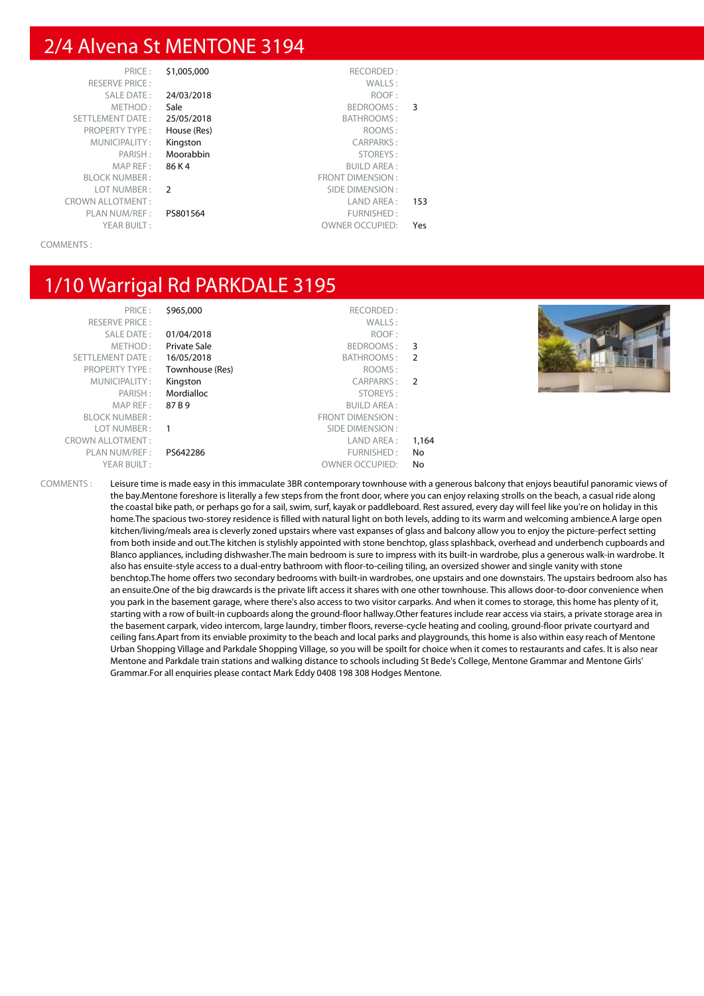#### 2/4 Alvena St MENTONE 3194

| \$1,00         | PRICE:                  |
|----------------|-------------------------|
|                | <b>RESERVE PRICE:</b>   |
| 24/03          | <b>SALE DATE:</b>       |
| Sale           | METHOD:                 |
| 25/05          | SETTLEMENT DATE:        |
| House          | <b>PROPERTY TYPE:</b>   |
| <b>Kings</b>   | MUNICIPALITY:           |
| Moora          | PARISH :                |
| 86 K 4         | MAP REF:                |
|                | <b>BLOCK NUMBER:</b>    |
| $\overline{2}$ | LOT NUMBER:             |
|                | <b>CROWN ALLOTMENT:</b> |
| PS801          | PLAN NUM/REF :          |
|                | YEAR BUILT:             |
|                |                         |

|     | \$1,005,000<br>RECORDED:         | PRICE:                  |
|-----|----------------------------------|-------------------------|
|     | WALLS:                           | <b>RESERVE PRICE:</b>   |
|     | ROOF:<br>24/03/2018              | <b>SALE DATE:</b>       |
| 3   | Sale<br>BEDROOMS:                | METHOD:                 |
|     | 25/05/2018<br><b>BATHROOMS:</b>  | <b>SETTLEMENT DATE:</b> |
|     | ROOMS:<br>House (Res)            | <b>PROPERTY TYPE:</b>   |
|     | <b>CARPARKS:</b><br>Kingston     | MUNICIPALITY:           |
|     | Moorabbin<br>STOREYS:            | PARISH:                 |
|     | 86 K 4<br><b>BUILD AREA:</b>     | MAP REF:                |
|     | FRONT DIMENSION:                 | <b>BLOCK NUMBER:</b>    |
|     | SIDE DIMENSION:<br>$\mathcal{P}$ | LOT NUMBER:             |
| 153 | LAND AREA:                       | <b>CROWN ALLOTMENT:</b> |
|     | PS801564<br>FURNISHED:           | PLAN NUM/REF:           |
| Yes | <b>OWNER OCCUPIED:</b>           | YEAR BUILT:             |

#### COMMENTS :

#### 1/10 Warrigal Rd PARKDALE 3195

|       | RECORDED:              | \$965,000       | PRICE:                  |
|-------|------------------------|-----------------|-------------------------|
|       | WALLS:                 |                 | <b>RESERVE PRICE:</b>   |
|       | ROOF:                  | 01/04/2018      | <b>SALE DATE:</b>       |
|       | BEDROOMS: 3            | Private Sale    | METHOD:                 |
|       | BATHROOMS: 2           | 16/05/2018      | SETTLEMENT DATE:        |
|       | ROOMS:                 | Townhouse (Res) | PROPERTY TYPE:          |
|       | CARPARKS: 2            | Kingston        | MUNICIPALITY:           |
|       | STOREYS:               | Mordialloc      | PARISH:                 |
|       | <b>BUILD AREA:</b>     | 87 B 9          | MAPREF:                 |
|       | FRONT DIMENSION :      |                 | <b>BLOCK NUMBER:</b>    |
|       | SIDE DIMENSION :       |                 | LOT NUMBER:             |
| 1,164 | LAND AREA :            |                 | <b>CROWN ALLOTMENT:</b> |
| No    | FURNISHED:             | PS642286        | PLAN NUM/REF :          |
| No.   | <b>OWNER OCCUPIED:</b> |                 | YEAR BUILT:             |

COMMENTS : Leisure time is made easy in this immaculate 3BR contemporary townhouse with a generous balcony that enjoys beautiful panoramic views of the bay.Mentone foreshore is literally a few steps from the front door, where you can enjoy relaxing strolls on the beach, a casual ride along the coastal bike path, or perhaps go for a sail, swim, surf, kayak or paddleboard. Rest assured, every day will feel like you're on holiday in this home.The spacious two-storey residence is filled with natural light on both levels, adding to its warm and welcoming ambience.A large open kitchen/living/meals area is cleverly zoned upstairs where vast expanses of glass and balcony allow you to enjoy the picture-perfect setting from both inside and out.The kitchen is stylishly appointed with stone benchtop, glass splashback, overhead and underbench cupboards and Blanco appliances, including dishwasher.The main bedroom is sure to impress with its built-in wardrobe, plus a generous walk-in wardrobe. It also has ensuite-style access to a dual-entry bathroom with floor-to-ceiling tiling, an oversized shower and single vanity with stone benchtop.The home offers two secondary bedrooms with built-in wardrobes, one upstairs and one downstairs. The upstairs bedroom also has an ensuite.One of the big drawcards is the private lift access it shares with one other townhouse. This allows door-to-door convenience when you park in the basement garage, where there's also access to two visitor carparks. And when it comes to storage, this home has plenty of it, starting with a row of built-in cupboards along the ground-floor hallway.Other features include rear access via stairs, a private storage area in the basement carpark, video intercom, large laundry, timber floors, reverse-cycle heating and cooling, ground-floor private courtyard and ceiling fans.Apart from its enviable proximity to the beach and local parks and playgrounds, this home is also within easy reach of Mentone Urban Shopping Village and Parkdale Shopping Village, so you will be spoilt for choice when it comes to restaurants and cafes. It is also near Mentone and Parkdale train stations and walking distance to schools including St Bede's College, Mentone Grammar and Mentone Girls' Grammar.For all enquiries please contact Mark Eddy 0408 198 308 Hodges Mentone.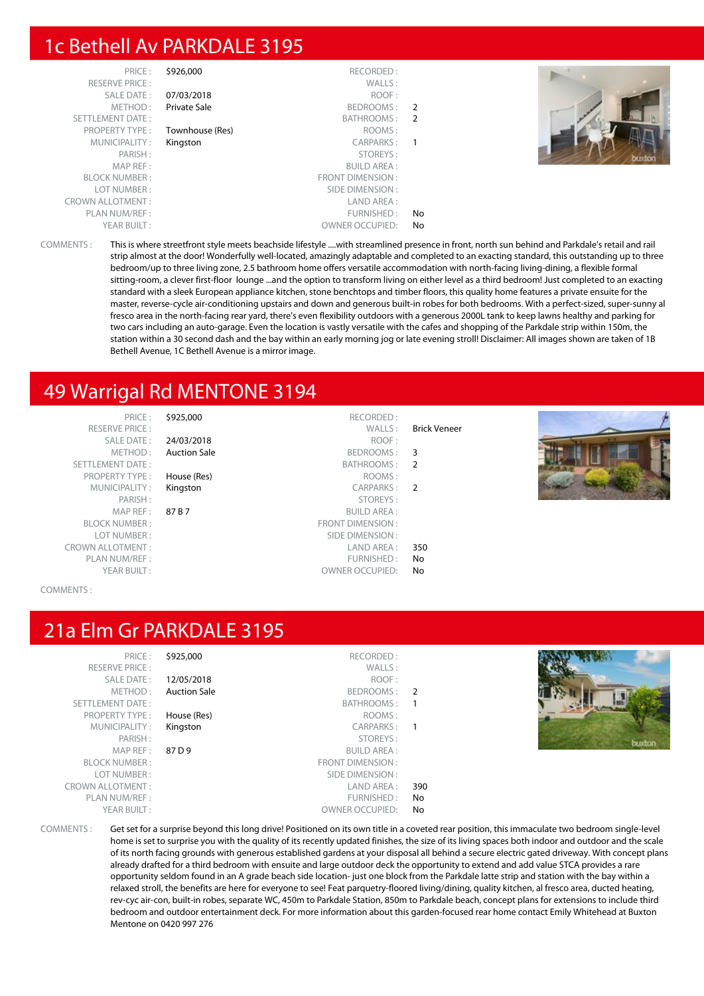#### 1c Bethell Av PARKDALE 3195

|                | \$926,000<br>RECORDED:           | PRICE:                  |
|----------------|----------------------------------|-------------------------|
|                | WALLS:                           | <b>RESERVE PRICE:</b>   |
|                | 07/03/2018<br>ROOF:              | <b>SALE DATE:</b>       |
| $\mathcal{P}$  | Private Sale<br><b>BEDROOMS:</b> | METHOD:                 |
| $\overline{2}$ | BATHROOMS:                       | <b>SETTLEMENT DATE:</b> |
|                | ROOMS:<br>Townhouse (Res)        | <b>PROPERTY TYPE:</b>   |
|                | Kingston<br><b>CARPARKS:</b>     | MUNICIPALITY:           |
|                | STOREYS:                         | PARISH:                 |
|                | <b>BUILD AREA:</b>               | MAP REF:                |
|                | <b>FRONT DIMENSION:</b>          | <b>BLOCK NUMBER:</b>    |
|                | SIDE DIMENSION:                  | LOT NUMBER:             |
|                | LAND AREA:                       | <b>CROWN ALLOTMENT:</b> |
| No             | <b>FURNISHED:</b>                | PLAN NUM/REF:           |
| No             | <b>OWNER OCCUPIED:</b>           | YEAR BUILT:             |



COMMENTS : This is where streetfront style meets beachside lifestyle ....with streamlined presence in front, north sun behind and Parkdale's retail and rail strip almost at the door! Wonderfully well-located, amazingly adaptable and completed to an exacting standard, this outstanding up to three bedroom/up to three living zone, 2.5 bathroom home offers versatile accommodation with north-facing living-dining, a flexible formal sitting-room, a clever first-floor lounge ...and the option to transform living on either level as a third bedroom! Just completed to an exacting standard with a sleek European appliance kitchen, stone benchtops and timber floors, this quality home features a private ensuite for the master, reverse-cycle air-conditioning upstairs and down and generous built-in robes for both bedrooms. With a perfect-sized, super-sunny al fresco area in the north-facing rear yard, there's even flexibility outdoors with a generous 2000L tank to keep lawns healthy and parking for two cars including an auto-garage. Even the location is vastly versatile with the cafes and shopping of the Parkdale strip within 150m, the station within a 30 second dash and the bay within an early morning jog or late evening stroll! Disclaimer: All images shown are taken of 1B Bethell Avenue, 1C Bethell Avenue is a mirror image.

## 49 Warrigal Rd MENTONE 3194

SALE DATE : 24/03/2018 ROOF : METHOD : **Auction Sale BEDROOMS** : 3 YEAR BUILT :  $OWNER$  OWNER OCCUPIED: No

PRICE : \$925,000 RECORDED :

SETTLEMENT DATE : SETTLEMENT DATE : SATHROOMS : 2 PROPERTY TYPE : **House (Res)** ROOMS : MUNICIPALITY: Kingston CARPARKS: 2 PARISH : STOREYS : 87 B 7 BUILD AREA : BLOCK NUMBER : FRONT DIMENSION : SIDE DIMENSION : CROWN ALLOTMENT : LAND AREA : 350 PLAN NUM/REF : The state of the state of the state of the state of the state of the state of the state of the state of the state of the state of the state of the state of the state of the state of the state of the state of

# RESERVE PRICE : WALLS : Brick Veneer



#### COMMENTS :

# 21a Elm Gr PARKDALE 3195

| PRICE:<br><b>RESERVE PRICE:</b><br>SALE DATE:<br>METHOD:<br>SETTLEMENT DATE:<br><b>PROPERTY TYPE:</b><br>MUNICIPALITY:<br>PARISH:<br>MAP REF :<br><b>BLOCK NUMBER:</b><br>LOT NUMBER:<br><b>CROWN ALLOTMENT:</b><br>PLAN NUM/REF :<br>YEAR BUILT: | \$925,000<br>12/05/2018<br><b>Auction Sale</b><br>House (Res)<br>Kingston<br>87 D 9 | RECORDED:<br>WALLS:<br>ROOF:<br>BEDROOMS: 2<br>BATHROOMS:<br>ROOMS:<br>CARPARKS:<br>STOREYS:<br><b>BUILD AREA:</b><br><b>FRONT DIMENSION:</b><br>SIDE DIMENSION :<br>LAND AREA:<br>FURNISHED:<br><b>OWNER OCCUPIED:</b> | - 1<br>390<br>No<br>No | buxton |
|---------------------------------------------------------------------------------------------------------------------------------------------------------------------------------------------------------------------------------------------------|-------------------------------------------------------------------------------------|-------------------------------------------------------------------------------------------------------------------------------------------------------------------------------------------------------------------------|------------------------|--------|
|---------------------------------------------------------------------------------------------------------------------------------------------------------------------------------------------------------------------------------------------------|-------------------------------------------------------------------------------------|-------------------------------------------------------------------------------------------------------------------------------------------------------------------------------------------------------------------------|------------------------|--------|

COMMENTS : Get set for a surprise beyond this long drive! Positioned on its own title in a coveted rear position, this immaculate two bedroom single-level home is set to surprise you with the quality of its recently updated finishes, the size of its living spaces both indoor and outdoor and the scale of its north facing grounds with generous established gardens at your disposal all behind a secure electric gated driveway. With concept plans already drafted for a third bedroom with ensuite and large outdoor deck the opportunity to extend and add value STCA provides a rare opportunity seldom found in an A grade beach side location- just one block from the Parkdale latte strip and station with the bay within a relaxed stroll, the benefits are here for everyone to see! Feat parquetry-floored living/dining, quality kitchen, al fresco area, ducted heating, rev-cyc air-con, built-in robes, separate WC, 450m to Parkdale Station, 850m to Parkdale beach, concept plans for extensions to include third bedroom and outdoor entertainment deck. For more information about this garden-focused rear home contact Emily Whitehead at Buxton Mentone on 0420 997 276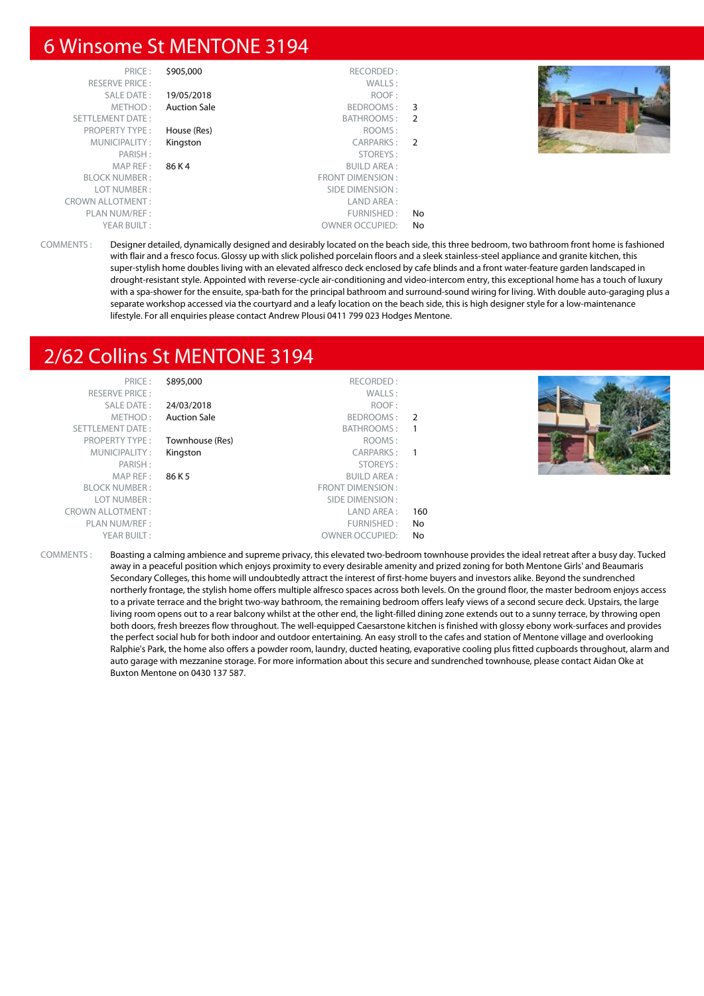#### 6 Winsome St MENTONE 3194

| PRICE:                  | \$905,000           | RECORDED:              |     |  |
|-------------------------|---------------------|------------------------|-----|--|
| <b>RESERVE PRICE:</b>   |                     | WALLS:                 |     |  |
| SALE DATE:              | 19/05/2018          | ROOF:                  |     |  |
| METHOD:                 | <b>Auction Sale</b> | BEDROOMS:              | - 3 |  |
| SETTLEMENT DATE:        |                     | BATHROOMS:             | - 2 |  |
| <b>PROPERTY TYPE:</b>   | House (Res)         | ROOMS:                 |     |  |
| MUNICIPALITY:           | Kingston            | CARPARKS:              | 2   |  |
| PARISH:                 |                     | STOREYS:               |     |  |
| MAPREF:                 | 86 K 4              | <b>BUILD AREA:</b>     |     |  |
| <b>BLOCK NUMBER:</b>    |                     | FRONT DIMENSION:       |     |  |
| LOT NUMBER:             |                     | SIDE DIMENSION :       |     |  |
| <b>CROWN ALLOTMENT:</b> |                     | LAND AREA :            |     |  |
| PLAN NUM/REF :          |                     | FURNISHED:             | No  |  |
| YEAR BUILT:             |                     | <b>OWNER OCCUPIED:</b> | No  |  |

COMMENTS : Designer detailed, dynamically designed and desirably located on the beach side, this three bedroom, two bathroom front home is fashioned with flair and a fresco focus. Glossy up with slick polished porcelain floors and a sleek stainless-steel appliance and granite kitchen, this super-stylish home doubles living with an elevated alfresco deck enclosed by cafe blinds and a front water-feature garden landscaped in drought-resistant style. Appointed with reverse-cycle air-conditioning and video-intercom entry, this exceptional home has a touch of luxury with a spa-shower for the ensuite, spa-bath for the principal bathroom and surround-sound wiring for living. With double auto-garaging plus a separate workshop accessed via the courtyard and a leafy location on the beach side, this is high designer style for a low-maintenance lifestyle. For all enquiries please contact Andrew Plousi 0411 799 023 Hodges Mentone.

# 2/62 Collins St MENTONE 3194

| PRICE:                  | \$895,000           | RECORDED:              |                          |                                                                                                                                                                                                                                                                                   |
|-------------------------|---------------------|------------------------|--------------------------|-----------------------------------------------------------------------------------------------------------------------------------------------------------------------------------------------------------------------------------------------------------------------------------|
| <b>RESERVE PRICE:</b>   |                     | WALLS:                 |                          |                                                                                                                                                                                                                                                                                   |
| SALE DATE:              | 24/03/2018          | ROOF:                  |                          |                                                                                                                                                                                                                                                                                   |
| METHOD:                 | <b>Auction Sale</b> | BEDROOMS:              | $\overline{2}$           |                                                                                                                                                                                                                                                                                   |
| SETTLEMENT DATE:        |                     | BATHROOMS:             |                          |                                                                                                                                                                                                                                                                                   |
| <b>PROPERTY TYPE:</b>   | Townhouse (Res)     | ROOMS:                 |                          |                                                                                                                                                                                                                                                                                   |
| MUNICIPALITY:           | Kingston            | CARPARKS:              | $\overline{\phantom{0}}$ |                                                                                                                                                                                                                                                                                   |
| PARISH:                 |                     | STOREYS:               |                          |                                                                                                                                                                                                                                                                                   |
| MAP REF:                | 86 K 5              | <b>BUILD AREA:</b>     |                          |                                                                                                                                                                                                                                                                                   |
| <b>BLOCK NUMBER:</b>    |                     | FRONT DIMENSION:       |                          |                                                                                                                                                                                                                                                                                   |
| LOT NUMBER :            |                     | SIDE DIMENSION :       |                          |                                                                                                                                                                                                                                                                                   |
| <b>CROWN ALLOTMENT:</b> |                     | LAND AREA :            | 160                      |                                                                                                                                                                                                                                                                                   |
| PLAN NUM/REF :          |                     | FURNISHED:             | No.                      |                                                                                                                                                                                                                                                                                   |
| YEAR BUILT:             |                     | <b>OWNER OCCUPIED:</b> | No                       |                                                                                                                                                                                                                                                                                   |
| COMMENTS:               |                     |                        |                          | Boasting a calming ambience and supreme privacy, this elevated two-bedroom townhouse provides the ideal retreat after a busy day. Tucked<br>away in a peaceful position which epiqys provimity to every desirable amenity and prized zoning for both Mentone Girls' and Reaumaris |

eful position which enjoys proximity to every desirable amenity and prized zoning for both Mentone Girls' and Beauma Secondary Colleges, this home will undoubtedly attract the interest of first-home buyers and investors alike. Beyond the sundrenched northerly frontage, the stylish home offers multiple alfresco spaces across both levels. On the ground floor, the master bedroom enjoys access to a private terrace and the bright two-way bathroom, the remaining bedroom offers leafy views of a second secure deck. Upstairs, the large living room opens out to a rear balcony whilst at the other end, the light-filled dining zone extends out to a sunny terrace, by throwing open both doors, fresh breezes flow throughout. The well-equipped Caesarstone kitchen is finished with glossy ebony work-surfaces and provides the perfect social hub for both indoor and outdoor entertaining. An easy stroll to the cafes and station of Mentone village and overlooking Ralphie's Park, the home also offers a powder room, laundry, ducted heating, evaporative cooling plus fitted cupboards throughout, alarm and auto garage with mezzanine storage. For more information about this secure and sundrenched townhouse, please contact Aidan Oke at Buxton Mentone on 0430 137 587.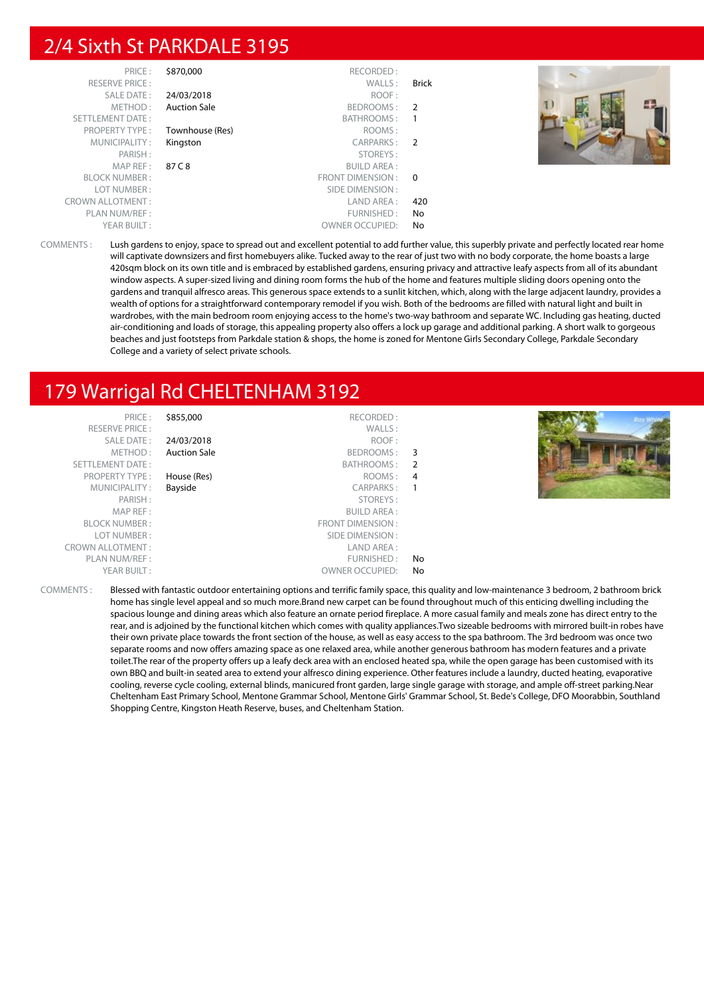#### 2/4 Sixth St PARKDALE 3195

| PRICE:                  | \$870,000           | RECORDED:              |                |
|-------------------------|---------------------|------------------------|----------------|
| <b>RESERVE PRICE:</b>   |                     | WALLS:                 | Brick          |
| SALE DATE:              | 24/03/2018          | ROOF:                  |                |
| METHOD:                 | <b>Auction Sale</b> | BEDROOMS:              | $\overline{2}$ |
| SETTLEMENT DATE:        |                     | BATHROOMS:             | 1              |
| <b>PROPERTY TYPE:</b>   | Townhouse (Res)     | ROOMS:                 |                |
| MUNICIPALITY:           | Kingston            | CARPARKS:              | 2              |
| PARISH:                 |                     | STOREYS:               |                |
| MAP REF :               | 87 C 8              | BUILD AREA :           |                |
| <b>BLOCK NUMBER:</b>    |                     | FRONT DIMENSION:       | $\Omega$       |
| LOT NUMBER:             |                     | SIDE DIMENSION:        |                |
| <b>CROWN ALLOTMENT:</b> |                     | LAND AREA :            | 420            |
| PLAN NUM/REF:           |                     | FURNISHED:             | No             |
| YEAR BUILT:             |                     | <b>OWNER OCCUPIED:</b> | No             |



COMMENTS : Lush gardens to enjoy, space to spread out and excellent potential to add further value, this superbly private and perfectly located rear home will captivate downsizers and first homebuyers alike. Tucked away to the rear of just two with no body corporate, the home boasts a large 420sqm block on its own title and is embraced by established gardens, ensuring privacy and attractive leafy aspects from all of its abundant window aspects. A super-sized living and dining room forms the hub of the home and features multiple sliding doors opening onto the gardens and tranquil alfresco areas. This generous space extends to a sunlit kitchen, which, along with the large adjacent laundry, provides a wealth of options for a straightforward contemporary remodel if you wish. Both of the bedrooms are filled with natural light and built in wardrobes, with the main bedroom room enjoying access to the home's two-way bathroom and separate WC. Including gas heating, ducted air-conditioning and loads of storage, this appealing property also offers a lock up garage and additional parking. A short walk to gorgeous beaches and just footsteps from Parkdale station & shops, the home is zoned for Mentone Girls Secondary College, Parkdale Secondary College and a variety of select private schools.

# 179 Warrigal Rd CHELTENHAM 3192

| PRICE:<br><b>RESERVE PRICE:</b> | \$855,000           | RECORDED:<br>WALLS:    |    | <b>Bay Wit</b> |
|---------------------------------|---------------------|------------------------|----|----------------|
| SALE DATE:                      | 24/03/2018          | ROOF:                  |    |                |
| METHOD:                         | <b>Auction Sale</b> | BEDROOMS:              | 3  |                |
| SETTLEMENT DATE:                |                     | BATHROOMS:             | 2  |                |
| <b>PROPERTY TYPE:</b>           | House (Res)         | ROOMS:                 | 4  |                |
| MUNICIPALITY:                   | Bayside             | CARPARKS:              |    |                |
| PARISH:                         |                     | STOREYS:               |    |                |
| MAP REF:                        |                     | <b>BUILD AREA:</b>     |    |                |
| <b>BLOCK NUMBER:</b>            |                     | FRONT DIMENSION:       |    |                |
| LOT NUMBER:                     |                     | SIDE DIMENSION :       |    |                |
| <b>CROWN ALLOTMENT:</b>         |                     | LAND AREA:             |    |                |
| PLAN NUM/REF :                  |                     | FURNISHED:             | No |                |
| YEAR BUILT:                     |                     | <b>OWNER OCCUPIED:</b> | No |                |

COMMENTS : Blessed with fantastic outdoor entertaining options and terrific family space, this quality and low-maintenance 3 bedroom, 2 bathroom brick home has single level appeal and so much more.Brand new carpet can be found throughout much of this enticing dwelling including the spacious lounge and dining areas which also feature an ornate period fireplace. A more casual family and meals zone has direct entry to the rear, and is adjoined by the functional kitchen which comes with quality appliances.Two sizeable bedrooms with mirrored built-in robes have their own private place towards the front section of the house, as well as easy access to the spa bathroom. The 3rd bedroom was once two separate rooms and now offers amazing space as one relaxed area, while another generous bathroom has modern features and a private toilet.The rear of the property offers up a leafy deck area with an enclosed heated spa, while the open garage has been customised with its own BBQ and built-in seated area to extend your alfresco dining experience. Other features include a laundry, ducted heating, evaporative cooling, reverse cycle cooling, external blinds, manicured front garden, large single garage with storage, and ample off-street parking.Near Cheltenham East Primary School, Mentone Grammar School, Mentone Girls' Grammar School, St. Bede's College, DFO Moorabbin, Southland Shopping Centre, Kingston Heath Reserve, buses, and Cheltenham Station.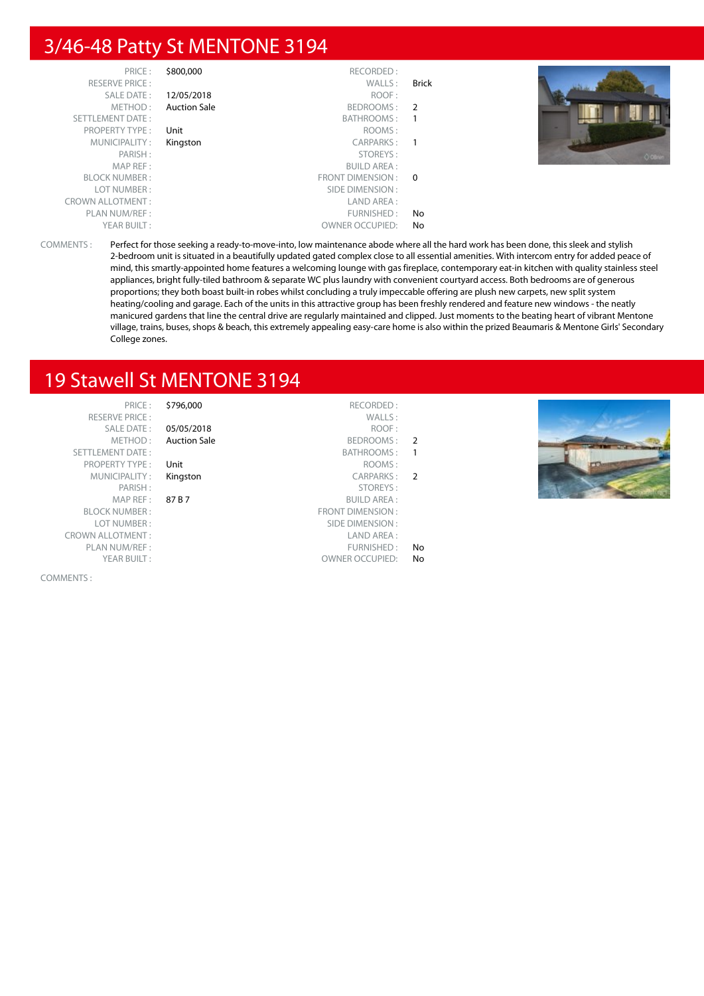#### 3/46-48 Patty St MENTONE 3194

|               | RECORDED:              | \$800,000           | PRICE:                  |
|---------------|------------------------|---------------------|-------------------------|
| <b>Brick</b>  | WALLS:                 |                     | <b>RESERVE PRICE:</b>   |
|               | ROOF:                  | 12/05/2018          | <b>SALE DATE:</b>       |
| $\mathcal{P}$ | BEDROOMS:              | <b>Auction Sale</b> | METHOD:                 |
|               | BATHROOMS:             |                     | <b>SETTLEMENT DATE:</b> |
|               | ROOMS:                 | Unit                | <b>PROPERTY TYPE:</b>   |
|               | CARPARKS:              | Kingston            | MUNICIPALITY:           |
|               | STOREYS:               |                     | PARISH:                 |
|               | <b>BUILD AREA:</b>     |                     | MAP REF:                |
| $\Omega$      | FRONT DIMENSION:       |                     | <b>BLOCK NUMBER:</b>    |
|               | SIDE DIMENSION :       |                     | LOT NUMBER:             |
|               | LAND AREA:             |                     | <b>CROWN ALLOTMENT:</b> |
| No            | FURNISHED:             |                     | PLAN NUM/REF :          |
| No            | <b>OWNER OCCUPIED:</b> |                     | YEAR BUILT:             |



COMMENTS : Perfect for those seeking a ready-to-move-into, low maintenance abode where all the hard work has been done, this sleek and stylish 2-bedroom unit is situated in a beautifully updated gated complex close to all essential amenities. With intercom entry for added peace of mind, this smartly-appointed home features a welcoming lounge with gas fireplace, contemporary eat-in kitchen with quality stainless steel appliances, bright fully-tiled bathroom & separate WC plus laundry with convenient courtyard access. Both bedrooms are of generous proportions; they both boast built-in robes whilst concluding a truly impeccable offering are plush new carpets, new split system heating/cooling and garage. Each of the units in this attractive group has been freshly rendered and feature new windows - the neatly manicured gardens that line the central drive are regularly maintained and clipped. Just moments to the beating heart of vibrant Mentone village, trains, buses, shops & beach, this extremely appealing easy-care home is also within the prized Beaumaris & Mentone Girls' Secondary College zones.

#### 19 Stawell St MENTONE 3194

RESERVE PRICE : SALE DATE : 05 METHOD: Au SETTLEMENT DATE: PROPERTY TYPE : Unit MUNICIPALITY : Kir PARISH:  $MAP REF : 87$ BLOCK NUMBER : LOT NUMBER : CROWN ALLOTMENT :

COMMENTS :

|               | \$796,000<br>RECORDED:           | PRICE:                |
|---------------|----------------------------------|-----------------------|
|               | WALLS:                           | <b>RESERVE PRICE:</b> |
|               | 05/05/2018<br>ROOF:              | SALE DATE:            |
| $\mathcal{P}$ | <b>Auction Sale</b><br>BEDROOMS: | METHOD:               |
| 1             | BATHROOMS:                       | <b>TTLEMENT DATE:</b> |
|               | ROOMS:                           | <b>PROPERTY TYPE:</b> |
| $\mathcal{P}$ | <b>CARPARKS:</b><br>Kingston     | MUNICIPALITY:         |
|               | STOREYS:                         | PARISH:               |
|               | <b>BUILD AREA:</b>               | MAP REF:              |
|               | <b>FRONT DIMENSION:</b>          | <b>BLOCK NUMBER:</b>  |
|               | SIDE DIMENSION:                  | LOT NUMBER:           |
|               | LAND AREA:                       | WN ALLOTMENT:         |
| No            | FURNISHED:                       | PLAN NUM/REF :        |
| No            | <b>OWNER OCCUPIED:</b>           | YEAR BUILT:           |
|               |                                  |                       |

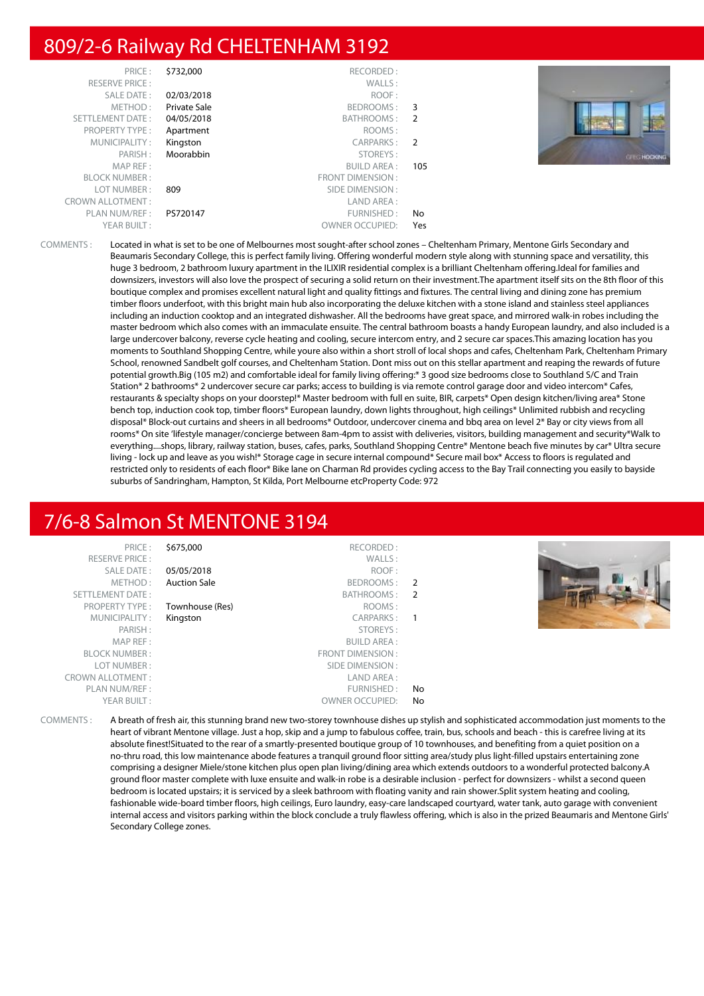#### 809/2-6 Railway Rd CHELTENHAM 3192

YEAR BUILT : THE STATE OF STATE OF STATE OF STATE OF STATE OF STATE OF STATE OF STATE OF STATE OF STATE OF STATE OF STATE OF STATE OF STATE OF STATE OF STATE OF STATE OF STATE OF STATE OF STATE OF STATE OF STATE OF STATE O

| PRICE:                  | \$732,000           | RECORDED:        |                |        |
|-------------------------|---------------------|------------------|----------------|--------|
| <b>RESERVE PRICE:</b>   |                     | WALLS:           |                |        |
| <b>SALE DATE:</b>       | 02/03/2018          | ROOF:            |                |        |
| METHOD:                 | <b>Private Sale</b> | BEDROOMS:        | 3              |        |
| SETTLEMENT DATE:        | 04/05/2018          | BATHROOMS:       | $\overline{2}$ |        |
| <b>PROPERTY TYPE:</b>   | Apartment           | ROOMS:           |                |        |
| MUNICIPALITY:           | Kingston            | CARPARKS:        | $\overline{2}$ |        |
| PARISH:                 | Moorabbin           | STOREYS:         |                | CRECHO |
| MAP REF:                |                     | BUILD AREA :     | 105            |        |
| <b>BLOCK NUMBER:</b>    |                     | FRONT DIMENSION: |                |        |
| LOT NUMBER:             | 809                 | SIDE DIMENSION : |                |        |
| <b>CROWN ALLOTMENT:</b> |                     | LAND AREA :      |                |        |
| PLAN NUM/REF:           | PS720147            | FURNISHED:       | No             |        |

COMMENTS : Located in what is set to be one of Melbournes most sought-after school zones – Cheltenham Primary, Mentone Girls Secondary and Beaumaris Secondary College, this is perfect family living. Offering wonderful modern style along with stunning space and versatility, this huge 3 bedroom, 2 bathroom luxury apartment in the ILIXIR residential complex is a brilliant Cheltenham offering.Ideal for families and downsizers, investors will also love the prospect of securing a solid return on their investment.The apartment itself sits on the 8th floor of this boutique complex and promises excellent natural light and quality fittings and fixtures. The central living and dining zone has premium timber floors underfoot, with this bright main hub also incorporating the deluxe kitchen with a stone island and stainless steel appliances including an induction cooktop and an integrated dishwasher. All the bedrooms have great space, and mirrored walk-in robes including the master bedroom which also comes with an immaculate ensuite. The central bathroom boasts a handy European laundry, and also included is a large undercover balcony, reverse cycle heating and cooling, secure intercom entry, and 2 secure car spaces.This amazing location has you moments to Southland Shopping Centre, while youre also within a short stroll of local shops and cafes, Cheltenham Park, Cheltenham Primary School, renowned Sandbelt golf courses, and Cheltenham Station. Dont miss out on this stellar apartment and reaping the rewards of future potential growth.Big (105 m2) and comfortable ideal for family living offering:\* 3 good size bedrooms close to Southland S/C and Train Station\* 2 bathrooms\* 2 undercover secure car parks; access to building is via remote control garage door and video intercom\* Cafes, restaurants & specialty shops on your doorstep!\* Master bedroom with full en suite, BIR, carpets\* Open design kitchen/living area\* Stone bench top, induction cook top, timber floors\* European laundry, down lights throughout, high ceilings\* Unlimited rubbish and recycling disposal\* Block-out curtains and sheers in all bedrooms\* Outdoor, undercover cinema and bbq area on level 2\* Bay or city views from all rooms\* On site 'lifestyle manager/concierge between 8am-4pm to assist with deliveries, visitors, building management and security\*Walk to everything....shops, library, railway station, buses, cafes, parks, Southland Shopping Centre\* Mentone beach five minutes by car\* Ultra secure living - lock up and leave as you wish!\* Storage cage in secure internal compound\* Secure mail box\* Access to floors is regulated and restricted only to residents of each floor\* Bike lane on Charman Rd provides cycling access to the Bay Trail connecting you easily to bayside suburbs of Sandringham, Hampton, St Kilda, Port Melbourne etcProperty Code: 972

## 7/6-8 Salmon St MENTONE 3194

| RESERVE PRICE:          |
|-------------------------|
| <b>SALE DATE:</b>       |
| MFTHOD:                 |
| <b>SETTLEMENT DATE:</b> |
| <b>PROPERTY TYPE:</b>   |
| MUNICIPALITY:           |
| PARISH:                 |
| MAP RFF:                |
| <b>BI OCK NUMBER:</b>   |
| LOT NUMBER:             |
| <b>CROWN ALLOTMENT:</b> |
| PLAN NUM/REF:           |
| YFAR BUILT:             |

PRICE : \$675,000 RECORDED : RESERVE PRICE : WALLS : 05/05/2018 ROOF: Auction Sale **BEDROOMS** : 2 **Townhouse (Res) ROOMS :** Townhouse (Res) Kingston CARPARKS : 1





COMMENTS : A breath of fresh air, this stunning brand new two-storey townhouse dishes up stylish and sophisticated accommodation just moments to the heart of vibrant Mentone village. Just a hop, skip and a jump to fabulous coffee, train, bus, schools and beach - this is carefree living at its absolute finest!Situated to the rear of a smartly-presented boutique group of 10 townhouses, and benefiting from a quiet position on a no-thru road, this low maintenance abode features a tranquil ground floor sitting area/study plus light-filled upstairs entertaining zone comprising a designer Miele/stone kitchen plus open plan living/dining area which extends outdoors to a wonderful protected balcony.A ground floor master complete with luxe ensuite and walk-in robe is a desirable inclusion - perfect for downsizers - whilst a second queen bedroom is located upstairs; it is serviced by a sleek bathroom with floating vanity and rain shower.Split system heating and cooling, fashionable wide-board timber floors, high ceilings, Euro laundry, easy-care landscaped courtyard, water tank, auto garage with convenient internal access and visitors parking within the block conclude a truly flawless offering, which is also in the prized Beaumaris and Mentone Girls' Secondary College zones.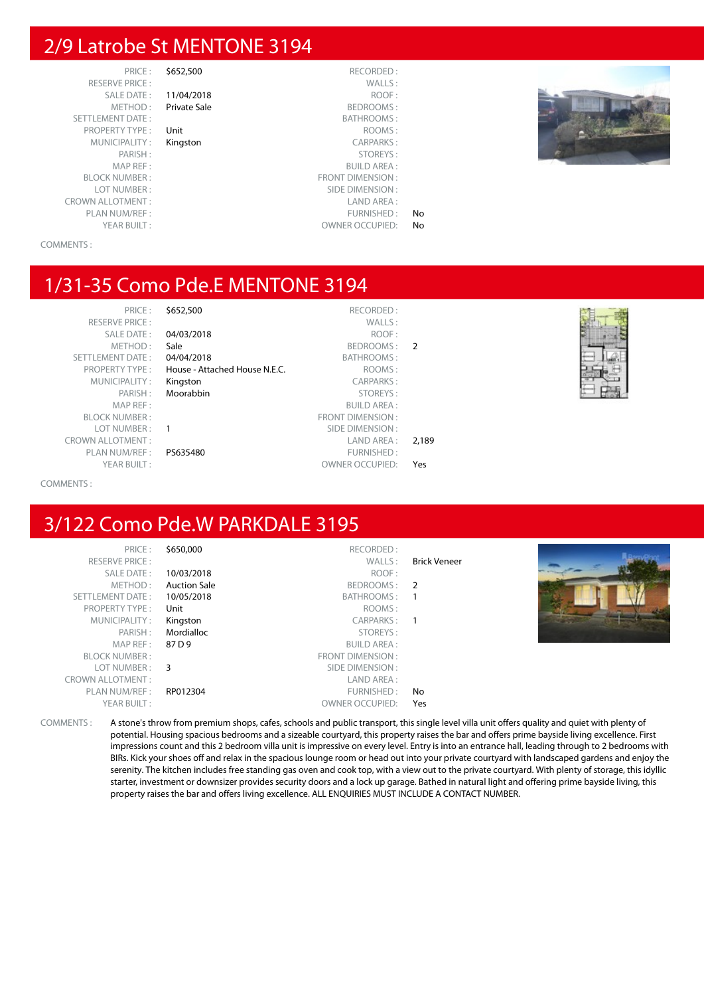#### 2/9 Latrobe St MENTONE 3194

RESERVE PRICE : SETTLEMENT DATE : BATHROOMS : CROWN ALLOTMENT : LAND AREA :

PRICE : \$652,500 RECORDED :<br>PRICE : WALLS : SALE DATE : **11/04/2018** ROOF : METHOD : Private Sale BEDROOMS : PROPERTY TYPE : Unit ROOMS : MUNICIPALITY : **Kingston** CARPARKS : PARISH : STOREYS : STOREYS : STOREYS : STOREYS : STOREYS : STOREYS : STOREYS : SUILD AREA : MAP REF :<br>BUILD AREA :<br>BLOCK NUMBER · BLOCK NUMBER · A SERIES AND REASON TO BE SERIES ON : ERONT DIMENSION :<br>Example of the contract of the contract of the contract of the contract of the contract of the contract of the<br>SIDE DIMENSION : SIDE DIMENSION : PLAN NUM/REF : FURNISHED : No PLAN NUM/REF : FURNISHED : No PLAN NUM/REF : COMMER OCCUPIED : No PLAN NUMER OCCUPIED : No PLAN NUMER OCCUPIED : No PLAN NUMER OCCUPIED : No PLAN NUMER OCCUPIED : No PLAN NUMER OCCUPIED : No P OWNER OCCUPIED: No



COMMENTS :

#### 1/31-35 Como Pde.E MENTONE 3194

MUNICIPALITY : Kingston

PRICE : \$652,500 RECORDED : RESERVE PRICE : WALLS : SALE DATE : 04/03/2018 ROOF :<br>METHOD : Sale Reproduced by BEDROOMS : Sale **Sale BEDROOMS** : 2 SETTLEMENT DATE : 04/04/2018<br>PROPERTY TYPE : House - Attached House N.E.C. ROOMS : **Property Attached House N.E.C.** ROOMS :<br>**Kingston** CARPARKS : PARISH : **Moorabbin** STOREYS : MAP REF : BUILD AREA : BLOCK NUMBER : FRONT DIMENSION : LOT NUMBER : 1 SIDE DIMENSION : CROWN ALLOTMENT : LAND AREA : 2,189 PLAN NUM/REF : PS635480 FURNISHED : YEAR BUILT : OWNER OCCUPIED: Yes



COMMENTS :

#### 3/122 Como Pde.W PARKDALE 3195

| PRICE:                  | \$650,000           | RECORDED:              |                     |  |
|-------------------------|---------------------|------------------------|---------------------|--|
| <b>RESERVE PRICE:</b>   |                     | WALLS:                 | <b>Brick Veneer</b> |  |
| SALE DATE:              | 10/03/2018          | ROOF:                  |                     |  |
| METHOD:                 | <b>Auction Sale</b> | BEDROOMS: 2            |                     |  |
| SETTLEMENT DATE:        | 10/05/2018          | BATHROOMS:             |                     |  |
| <b>PROPERTY TYPE:</b>   | Unit                | ROOMS:                 |                     |  |
| MUNICIPALITY:           | Kingston            | CARPARKS:              |                     |  |
| PARISH:                 | Mordialloc          | STOREYS:               |                     |  |
| MAP REF :               | 87 D 9              | <b>BUILD AREA:</b>     |                     |  |
| <b>BLOCK NUMBER:</b>    |                     | FRONT DIMENSION:       |                     |  |
| LOT NUMBER :            | 3                   | SIDE DIMENSION :       |                     |  |
| <b>CROWN ALLOTMENT:</b> |                     | LAND AREA :            |                     |  |
| PLAN NUM/REF :          | RP012304            | FURNISHED:             | No                  |  |
| YEAR BUILT:             |                     | <b>OWNER OCCUPIED:</b> | Yes                 |  |

COMMENTS : A stone's throw from premium shops, cafes, schools and public transport, this single level villa unit offers quality and quiet with plenty of potential. Housing spacious bedrooms and a sizeable courtyard, this property raises the bar and offers prime bayside living excellence. First impressions count and this 2 bedroom villa unit is impressive on every level. Entry is into an entrance hall, leading through to 2 bedrooms with BIRs. Kick your shoes off and relax in the spacious lounge room or head out into your private courtyard with landscaped gardens and enjoy the serenity. The kitchen includes free standing gas oven and cook top, with a view out to the private courtyard. With plenty of storage, this idyllic starter, investment or downsizer provides security doors and a lock up garage. Bathed in natural light and offering prime bayside living, this property raises the bar and offers living excellence. ALL ENQUIRIES MUST INCLUDE A CONTACT NUMBER.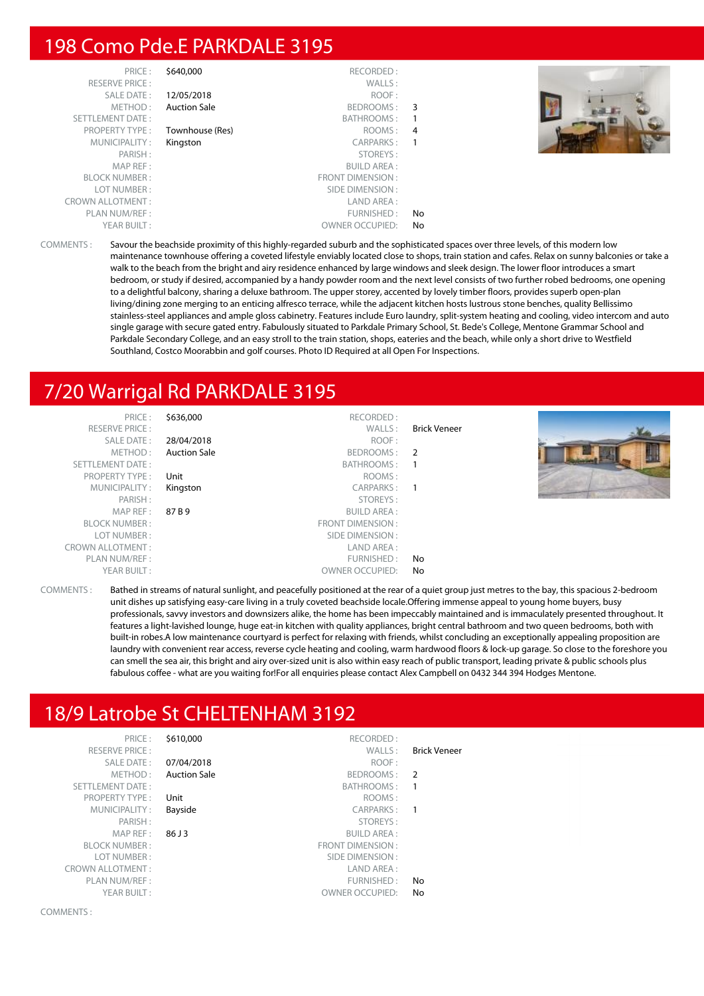#### 198 Como Pde.E PARKDALE 3195

| \$640,000<br>PRICE:       |                     | RECORDED:              |    |
|---------------------------|---------------------|------------------------|----|
| <b>RESERVE PRICE:</b>     |                     | WALLS:                 |    |
| SALE DATE:                | 12/05/2018          | ROOF:                  |    |
| METHOD:                   | <b>Auction Sale</b> | BEDROOMS:              | 3  |
| <b>SETTLEMENT DATE:</b>   |                     | BATHROOMS:             |    |
| <b>PROPERTY TYPE:</b>     | Townhouse (Res)     | ROOMS:                 | 4  |
| MUNICIPALITY:<br>Kingston |                     | <b>CARPARKS:</b>       |    |
| PARISH:                   |                     | STOREYS:               |    |
| MAP REF:                  |                     | <b>BUILD AREA:</b>     |    |
| <b>BLOCK NUMBER:</b>      |                     | FRONT DIMENSION:       |    |
| LOT NUMBER:               |                     | SIDE DIMENSION:        |    |
| <b>CROWN ALLOTMENT:</b>   |                     | LAND AREA:             |    |
| PLAN NUM/REF :            |                     | FURNISHED:             | No |
| YEAR BUILT:               |                     | <b>OWNER OCCUPIED:</b> | No |



COMMENTS : Savour the beachside proximity of this highly-regarded suburb and the sophisticated spaces over three levels, of this modern low maintenance townhouse offering a coveted lifestyle enviably located close to shops, train station and cafes. Relax on sunny balconies or take a walk to the beach from the bright and airy residence enhanced by large windows and sleek design. The lower floor introduces a smart bedroom, or study if desired, accompanied by a handy powder room and the next level consists of two further robed bedrooms, one opening to a delightful balcony, sharing a deluxe bathroom. The upper storey, accented by lovely timber floors, provides superb open-plan living/dining zone merging to an enticing alfresco terrace, while the adjacent kitchen hosts lustrous stone benches, quality Bellissimo stainless-steel appliances and ample gloss cabinetry. Features include Euro laundry, split-system heating and cooling, video intercom and auto single garage with secure gated entry. Fabulously situated to Parkdale Primary School, St. Bede's College, Mentone Grammar School and Parkdale Secondary College, and an easy stroll to the train station, shops, eateries and the beach, while only a short drive to Westfield Southland, Costco Moorabbin and golf courses. Photo ID Required at all Open For Inspections.

# 7/20 Warrigal Rd PARKDALE 3195

| PRICE:<br><b>RESERVE PRICE:</b> | \$636,000           | RECORDED:<br>WALLS:    | <b>Brick Veneer</b> |  |
|---------------------------------|---------------------|------------------------|---------------------|--|
| <b>SALE DATE:</b>               | 28/04/2018          | ROOF:                  |                     |  |
| METHOD:                         | <b>Auction Sale</b> | BEDROOMS: 2            |                     |  |
| SETTLEMENT DATE:                |                     | BATHROOMS:             |                     |  |
| <b>PROPERTY TYPE:</b>           | Unit                | ROOMS:                 |                     |  |
| MUNICIPALITY:                   | Kingston            | CARPARKS:              |                     |  |
| PARISH:                         |                     | STOREYS:               |                     |  |
| MAP REF:                        | 87 B 9              | <b>BUILD AREA:</b>     |                     |  |
| <b>BLOCK NUMBER:</b>            |                     | FRONT DIMENSION:       |                     |  |
| LOT NUMBER:                     |                     | SIDE DIMENSION :       |                     |  |
| <b>CROWN ALLOTMENT:</b>         |                     | LAND AREA :            |                     |  |
| PLAN NUM/REF :                  |                     | FURNISHED:             | No                  |  |
| YEAR BUILT:                     |                     | <b>OWNER OCCUPIED:</b> | No                  |  |

COMMENTS : Bathed in streams of natural sunlight, and peacefully positioned at the rear of a quiet group just metres to the bay, this spacious 2-bedroom unit dishes up satisfying easy-care living in a truly coveted beachside locale.Offering immense appeal to young home buyers, busy professionals, savvy investors and downsizers alike, the home has been impeccably maintained and is immaculately presented throughout. It features a light-lavished lounge, huge eat-in kitchen with quality appliances, bright central bathroom and two queen bedrooms, both with built-in robes.A low maintenance courtyard is perfect for relaxing with friends, whilst concluding an exceptionally appealing proposition are laundry with convenient rear access, reverse cycle heating and cooling, warm hardwood floors & lock-up garage. So close to the foreshore you can smell the sea air, this bright and airy over-sized unit is also within easy reach of public transport, leading private & public schools plus fabulous coffee - what are you waiting for!For all enquiries please contact Alex Campbell on 0432 344 394 Hodges Mentone.

#### 18/9 Latrobe St CHELTENHAM 3192

PRICE : \$610,000 RECORDED : RESERVE PRICE : WALLS : Brick Veneer SALE DATE : 07/04/2018 ROOF : METHOD: Auction Sale BEDROOMS: 2 SETTLEMENT DATE : SETTLEMENT DATE : SATHROOMS : 1 PROPERTY TYPE : Unit ROOMS : MUNICIPALITY : **Bayside CARPARKS** : 1 PARISH : STOREYS : MAP REF : 86 J 3 BUILD AREA : BLOCK NUMBER : FRONT DIMENSION : LOT NUMBER : SIDE DIMENSION : CROWN ALLOTMENT : LAND AREA : PLAN NUM/RFF : The set of the set of the set of the set of the set of the set of the set of the set of the set of the set of the set of the set of the set of the set of the set of the set of the set of the set of the set o YEAR BUILT : OWNER OCCUPIED: No

COMMENTS :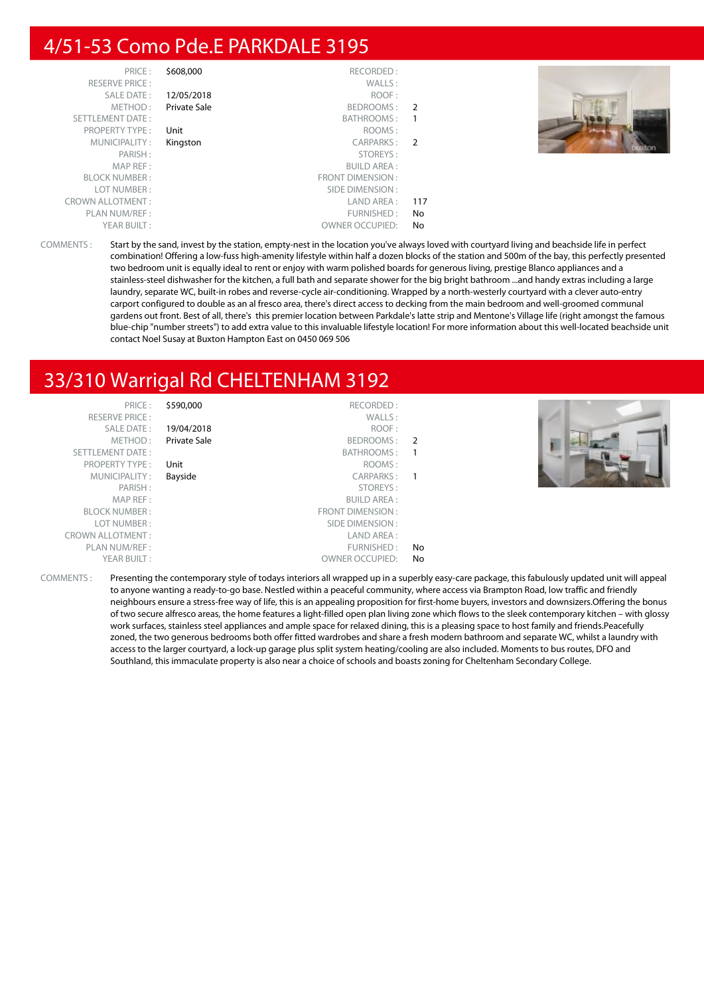#### 4/51-53 Como Pde.E PARKDALE 3195

| PRICE:                  | \$608,000    | RECORDED:              |                |  |
|-------------------------|--------------|------------------------|----------------|--|
| <b>RESERVE PRICE:</b>   |              | WALLS:                 |                |  |
| <b>SALE DATE:</b>       | 12/05/2018   | ROOF:                  |                |  |
| METHOD:                 | Private Sale | BEDROOMS:              | $\overline{2}$ |  |
| <b>SETTLEMENT DATE:</b> |              | BATHROOMS:             | -1             |  |
| <b>PROPERTY TYPE:</b>   | Unit         | ROOMS:                 |                |  |
| MUNICIPALITY:           | Kingston     | CARPARKS:              | $\overline{2}$ |  |
| PARISH:                 |              | STOREYS:               |                |  |
| MAP REF:                |              | <b>BUILD AREA:</b>     |                |  |
| <b>BLOCK NUMBER:</b>    |              | FRONT DIMENSION:       |                |  |
| LOT NUMBER:             |              | SIDE DIMENSION :       |                |  |
| <b>CROWN ALLOTMENT:</b> |              | LAND AREA :            | 117            |  |
| PLAN NUM/REF:           |              | FURNISHED:             | No             |  |
| YEAR BUILT:             |              | <b>OWNER OCCUPIED:</b> | No             |  |



COMMENTS : Start by the sand, invest by the station, empty-nest in the location you've always loved with courtyard living and beachside life in perfect combination! Offering a low-fuss high-amenity lifestyle within half a dozen blocks of the station and 500m of the bay, this perfectly presented two bedroom unit is equally ideal to rent or enjoy with warm polished boards for generous living, prestige Blanco appliances and a stainless-steel dishwasher for the kitchen, a full bath and separate shower for the big bright bathroom ...and handy extras including a large laundry, separate WC, built-in robes and reverse-cycle air-conditioning. Wrapped by a north-westerly courtyard with a clever auto-entry carport configured to double as an al fresco area, there's direct access to decking from the main bedroom and well-groomed communal gardens out front. Best of all, there's this premier location between Parkdale's latte strip and Mentone's Village life (right amongst the famous blue-chip "number streets") to add extra value to this invaluable lifestyle location! For more information about this well-located beachside unit contact Noel Susay at Buxton Hampton East on 0450 069 506

## 33/310 Warrigal Rd CHELTENHAM 3192

| PRICE:                  | \$590,000    | RECORDED:               |    |  |
|-------------------------|--------------|-------------------------|----|--|
| RESERVE PRICE:          |              | WALLS:                  |    |  |
| SALE DATE:              | 19/04/2018   | ROOF:                   |    |  |
| METHOD:                 | Private Sale | BEDROOMS:               | 2  |  |
| SETTLEMENT DATE:        |              | <b>BATHROOMS:</b>       |    |  |
| <b>PROPERTY TYPE:</b>   | Unit         | ROOMS:                  |    |  |
| MUNICIPALITY:           | Bayside      | CARPARKS:               | 1  |  |
| PARISH:                 |              | STOREYS:                |    |  |
| MAP REF:                |              | BUILD AREA :            |    |  |
| <b>BLOCK NUMBER:</b>    |              | <b>FRONT DIMENSION:</b> |    |  |
| LOT NUMBER:             |              | SIDE DIMENSION:         |    |  |
| <b>CROWN ALLOTMENT:</b> |              | LAND AREA:              |    |  |
| PLAN NUM/REF:           |              | FURNISHED:              | No |  |
| YEAR BUILT:             |              | <b>OWNER OCCUPIED:</b>  | No |  |
|                         |              |                         |    |  |



COMMENTS : Presenting the contemporary style of todays interiors all wrapped up in a superbly easy-care package, this fabulously updated unit will appeal to anyone wanting a ready-to-go base. Nestled within a peaceful community, where access via Brampton Road, low traffic and friendly neighbours ensure a stress-free way of life, this is an appealing proposition for first-home buyers, investors and downsizers.Offering the bonus of two secure alfresco areas, the home features a light-filled open plan living zone which flows to the sleek contemporary kitchen – with glossy work surfaces, stainless steel appliances and ample space for relaxed dining, this is a pleasing space to host family and friends.Peacefully zoned, the two generous bedrooms both offer fitted wardrobes and share a fresh modern bathroom and separate WC, whilst a laundry with access to the larger courtyard, a lock-up garage plus split system heating/cooling are also included. Moments to bus routes, DFO and Southland, this immaculate property is also near a choice of schools and boasts zoning for Cheltenham Secondary College.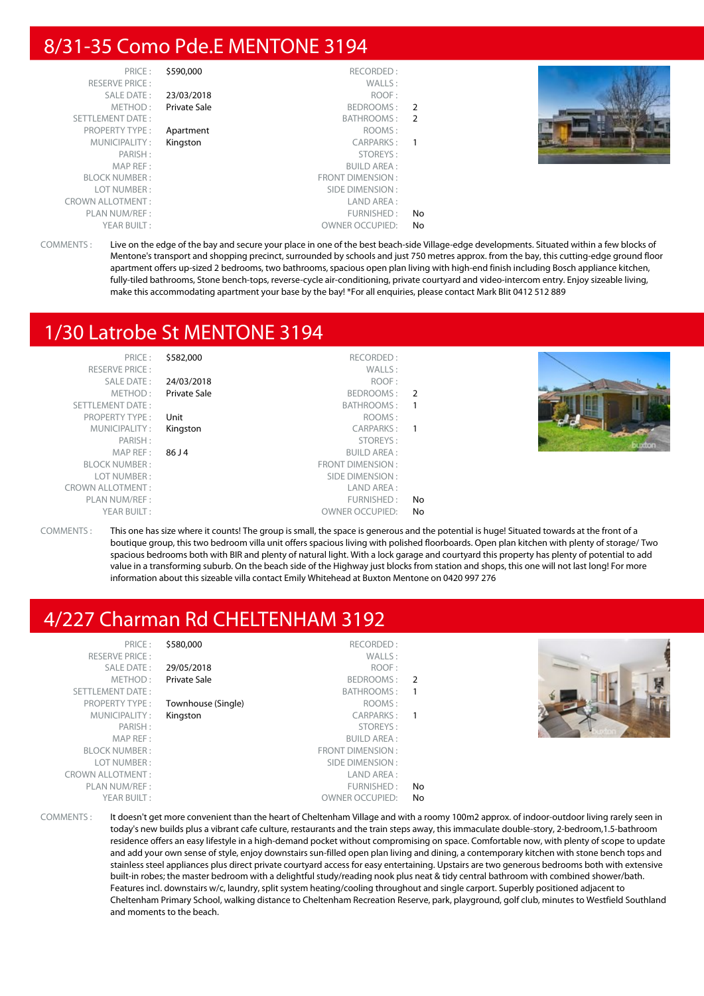#### 8/31-35 Como Pde.E MENTONE 3194

| PRICE:                  | \$590,000    | RECORDED:              |     |  |
|-------------------------|--------------|------------------------|-----|--|
| <b>RESERVE PRICE:</b>   |              | WALLS:                 |     |  |
| SALE DATE:              | 23/03/2018   | ROOF:                  |     |  |
| METHOD:                 | Private Sale | BEDROOMS:              | - 2 |  |
| SETTLEMENT DATE:        |              | BATHROOMS:             | -2  |  |
| <b>PROPERTY TYPE:</b>   | Apartment    | ROOMS:                 |     |  |
| MUNICIPALITY:           | Kingston     | CARPARKS:              |     |  |
| PARISH:                 |              | STOREYS:               |     |  |
| MAP REF:                |              | <b>BUILD AREA:</b>     |     |  |
| <b>BLOCK NUMBER:</b>    |              | FRONT DIMENSION:       |     |  |
| LOT NUMBER:             |              | SIDE DIMENSION :       |     |  |
| <b>CROWN ALLOTMENT:</b> |              | LAND AREA:             |     |  |
| PLAN NUM/REF:           |              | FURNISHED:             | No  |  |
| YEAR BUILT:             |              | <b>OWNER OCCUPIED:</b> | No  |  |
|                         |              |                        |     |  |

COMMENTS : Live on the edge of the bay and secure your place in one of the best beach-side Village-edge developments. Situated within a few blocks of Mentone's transport and shopping precinct, surrounded by schools and just 750 metres approx. from the bay, this cutting-edge ground floor apartment offers up-sized 2 bedrooms, two bathrooms, spacious open plan living with high-end finish including Bosch appliance kitchen, fully-tiled bathrooms, Stone bench-tops, reverse-cycle air-conditioning, private courtyard and video-intercom entry. Enjoy sizeable living, make this accommodating apartment your base by the bay! \*For all enquiries, please contact Mark Blit 0412 512 889

#### 1/30 Latrobe St MENTONE 3194

| \$582,000    | RECORDED:               |     |             |
|--------------|-------------------------|-----|-------------|
|              | WALLS:                  |     |             |
| 24/03/2018   | ROOF:                   |     |             |
| Private Sale |                         |     |             |
|              | BATHROOMS:              |     |             |
| Unit         | ROOMS:                  |     |             |
| Kingston     | CARPARKS:               | - 1 |             |
|              | STOREYS:                |     |             |
| 86 J 4       | <b>BUILD AREA:</b>      |     |             |
|              | <b>FRONT DIMENSION:</b> |     |             |
|              | SIDE DIMENSION :        |     |             |
|              | LAND AREA:              |     |             |
|              | FURNISHED:              | No  |             |
|              | <b>OWNER OCCUPIED:</b>  | No  |             |
|              |                         |     | BEDROOMS: 2 |

COMMENTS : This one has size where it counts! The group is small, the space is generous and the potential is huge! Situated towards at the front of a boutique group, this two bedroom villa unit offers spacious living with polished floorboards. Open plan kitchen with plenty of storage/ Two spacious bedrooms both with BIR and plenty of natural light. With a lock garage and courtyard this property has plenty of potential to add value in a transforming suburb. On the beach side of the Highway just blocks from station and shops, this one will not last long! For more information about this sizeable villa contact Emily Whitehead at Buxton Mentone on 0420 997 276

#### 4/227 Charman Rd CHELTENHAM 3192

| PRICE:<br><b>RESERVE PRICE:</b> | \$580,000           | RECORDED:<br>WALLS:    |     |  |
|---------------------------------|---------------------|------------------------|-----|--|
| SALE DATE:                      | 29/05/2018          | ROOF:                  |     |  |
| METHOD:                         | <b>Private Sale</b> | BEDROOMS: 2            |     |  |
| SETTLEMENT DATE:                |                     | BATHROOMS:             |     |  |
| <b>PROPERTY TYPE:</b>           | Townhouse (Single)  | ROOMS:                 |     |  |
| MUNICIPALITY:                   | Kingston            | CARPARKS:              |     |  |
| PARISH:                         |                     | STOREYS:               |     |  |
| MAP REF:                        |                     | <b>BUILD AREA:</b>     |     |  |
| <b>BLOCK NUMBER:</b>            |                     | FRONT DIMENSION:       |     |  |
| LOT NUMBER:                     |                     | SIDE DIMENSION :       |     |  |
| <b>CROWN ALLOTMENT:</b>         |                     | LAND AREA:             |     |  |
| PLAN NUM/REF:                   |                     | FURNISHED:             | No. |  |
| YEAR BUILT:                     |                     | <b>OWNER OCCUPIED:</b> | No  |  |
|                                 |                     |                        |     |  |

COMMENTS : It doesn't get more convenient than the heart of Cheltenham Village and with a roomy 100m2 approx. of indoor-outdoor living rarely seen in today's new builds plus a vibrant cafe culture, restaurants and the train steps away, this immaculate double-story, 2-bedroom,1.5-bathroom residence offers an easy lifestyle in a high-demand pocket without compromising on space. Comfortable now, with plenty of scope to update and add your own sense of style, enjoy downstairs sun-filled open plan living and dining, a contemporary kitchen with stone bench tops and stainless steel appliances plus direct private courtyard access for easy entertaining. Upstairs are two generous bedrooms both with extensive built-in robes; the master bedroom with a delightful study/reading nook plus neat & tidy central bathroom with combined shower/bath. Features incl. downstairs w/c, laundry, split system heating/cooling throughout and single carport. Superbly positioned adjacent to Cheltenham Primary School, walking distance to Cheltenham Recreation Reserve, park, playground, golf club, minutes to Westfield Southland and moments to the beach.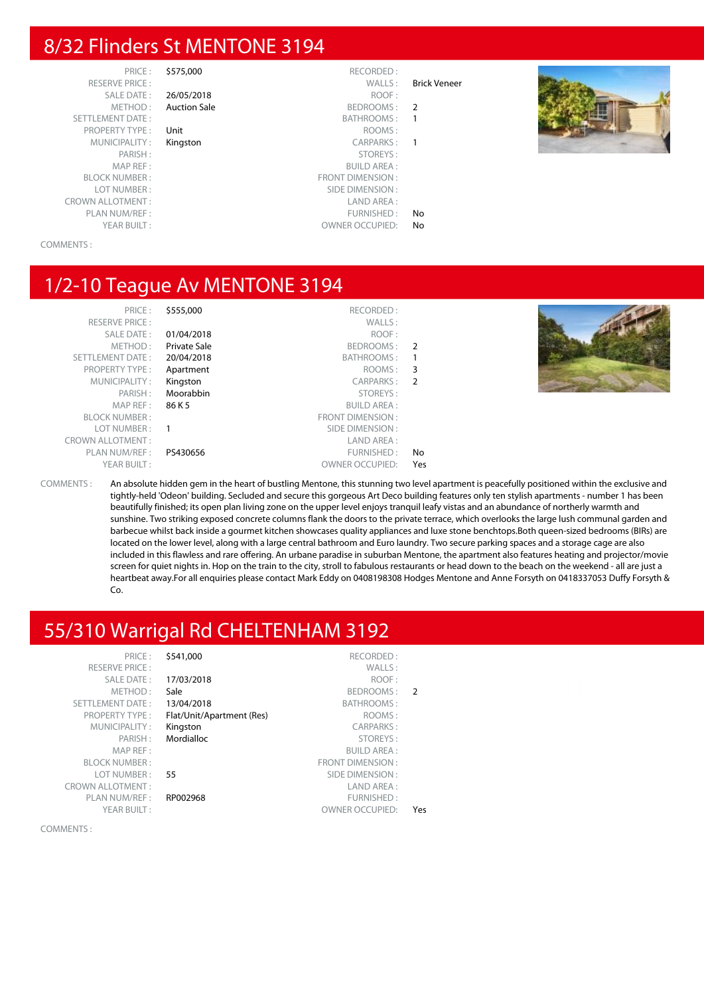#### 8/32 Flinders St MENTONE 3194

CROWN ALLOTMENT : LAND AREA :

#### PRICE : \$575,000 RECORDED :<br>PRICE : WALLS : RESERVE PRICE : WALLS : Brick Veneer SALE DATE : 26/05/2018 ROOF : METHOD: Auction Sale BEDROOMS: 2 SETTLEMENT DATE : SETTLEMENT DATE : SATHROOMS : 1 PROPERTY TYPE : Unit ROOMS : MUNICIPALITY : **Kingston** CARPARKS : 1 PARISH : STOREYS : STOREYS : STOREYS : STOREYS : STOREYS : STOREYS : SUILD AREA : **BUILD AREA:** BLOCK NUMBER : FRONT DIMENSION : SIDE DIMENSION : PLAN NUM/REF : FURNISHED : No PLAN NUM/REF : FURNISHED : No PLAN NUM/REF : COMMER OCCUPIED : No PLAN NUMER OCCUPIED : No PLAN NUMER OCCUPIED : No PLAN NUMER OCCUPIED : No PLAN NUMER OCCUPIED : No PLAN NUMER OCCUPIED : No P OWNER OCCUPIED: No



#### COMMENTS :

#### 1/2-10 Teague Av MENTONE 3194

|     | RECORDED:              | \$555,000    | PRICE:                  |
|-----|------------------------|--------------|-------------------------|
|     | WALLS:                 |              | <b>RESERVE PRICE:</b>   |
|     | ROOF:                  | 01/04/2018   | <b>SALE DATE:</b>       |
|     | BEDROOMS: 2            | Private Sale | METHOD:                 |
|     | BATHROOMS:             | 20/04/2018   | SETTLEMENT DATE:        |
|     | ROOMS: 3               | Apartment    | <b>PROPERTY TYPE:</b>   |
|     | CARPARKS: 2            | Kingston     | MUNICIPALITY:           |
|     | STOREYS:               | Moorabbin    | PARISH:                 |
|     | <b>BUILD AREA:</b>     | 86 K 5       | MAPREF:                 |
|     | FRONT DIMENSION:       |              | <b>BLOCK NUMBER:</b>    |
|     | SIDE DIMENSION :       |              | LOT NUMBER :            |
|     | LAND AREA :            |              | <b>CROWN ALLOTMENT:</b> |
| No. | FURNISHED:             | PS430656     | PLAN NUM/REF :          |
| Yes | <b>OWNER OCCUPIED:</b> |              | YEAR BUILT:             |

COMMENTS : An absolute hidden gem in the heart of bustling Mentone, this stunning two level apartment is peacefully positioned within the exclusive and tightly-held 'Odeon' building. Secluded and secure this gorgeous Art Deco building features only ten stylish apartments - number 1 has been beautifully finished; its open plan living zone on the upper level enjoys tranquil leafy vistas and an abundance of northerly warmth and sunshine. Two striking exposed concrete columns flank the doors to the private terrace, which overlooks the large lush communal garden and barbecue whilst back inside a gourmet kitchen showcases quality appliances and luxe stone benchtops.Both queen-sized bedrooms (BIRs) are located on the lower level, along with a large central bathroom and Euro laundry. Two secure parking spaces and a storage cage are also included in this flawless and rare offering. An urbane paradise in suburban Mentone, the apartment also features heating and projector/movie screen for quiet nights in. Hop on the train to the city, stroll to fabulous restaurants or head down to the beach on the weekend - all are just a heartbeat away.For all enquiries please contact Mark Eddy on 0408198308 Hodges Mentone and Anne Forsyth on 0418337053 Duffy Forsyth & Co.

## 55/310 Warrigal Rd CHELTENHAM 3192

| PRICE:                  | \$541,000                 | RECORDED:               |               |
|-------------------------|---------------------------|-------------------------|---------------|
| <b>RESERVE PRICE:</b>   |                           | WALLS:                  |               |
| SALE DATE:              | 17/03/2018                | ROOF:                   |               |
| METHOD:                 | Sale                      | BEDROOMS:               | $\mathcal{P}$ |
| <b>SETTLEMENT DATE:</b> | 13/04/2018                | BATHROOMS:              |               |
| <b>PROPERTY TYPE:</b>   | Flat/Unit/Apartment (Res) | ROOMS:                  |               |
| MUNICIPALITY:           | Kingston                  | <b>CARPARKS:</b>        |               |
| PARISH:                 | Mordialloc                | STOREYS:                |               |
| MAP REF:                |                           | <b>BUILD AREA:</b>      |               |
| <b>BLOCK NUMBER:</b>    |                           | <b>FRONT DIMENSION:</b> |               |
| LOT NUMBER:             | 55                        | SIDE DIMENSION:         |               |
| CROWN ALLOTMENT:        |                           | LAND AREA:              |               |
| PLAN NUM/REF :          | RP002968                  | FURNISHED:              |               |
| YEAR BUILT:             |                           | <b>OWNER OCCUPIED:</b>  | Yes           |

COMMENTS :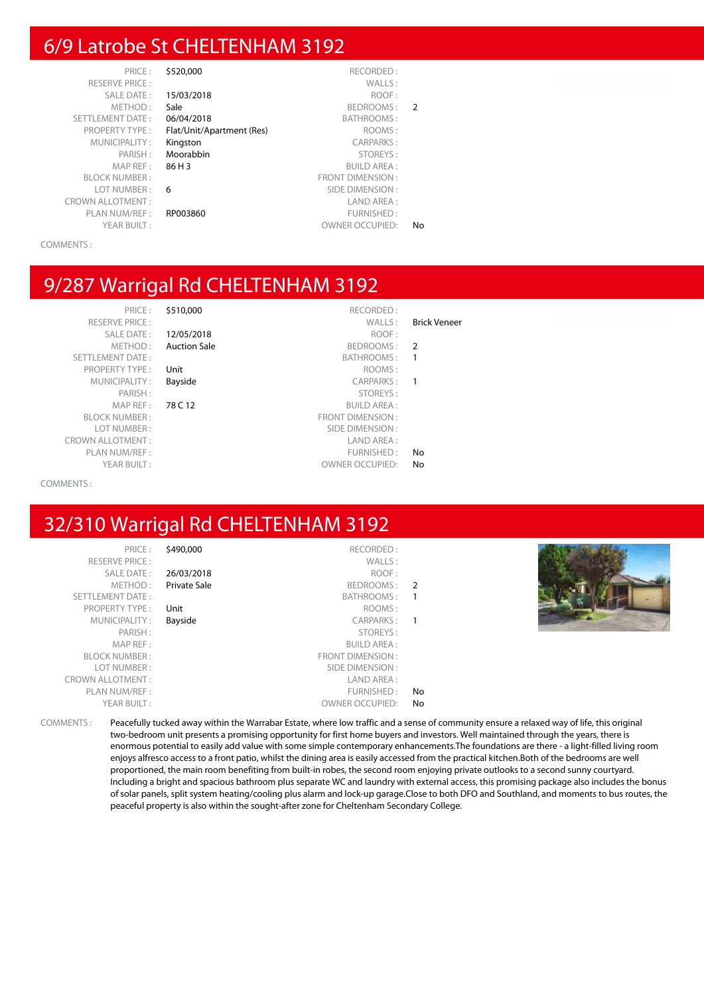#### 6/9 Latrobe St CHELTENHAM 3192

| PRICE:                   | \$520,000                 | RECORDED:               |               |
|--------------------------|---------------------------|-------------------------|---------------|
| <b>RESERVE PRICE:</b>    |                           | WALLS:                  |               |
| <b>SALE DATE:</b>        | 15/03/2018                | ROOF:                   |               |
| METHOD:                  | Sale                      | BEDROOMS:               | $\mathcal{P}$ |
| <b>SETTI EMENT DATE:</b> | 06/04/2018                | BATHROOMS:              |               |
| <b>PROPERTY TYPE:</b>    | Flat/Unit/Apartment (Res) | ROOMS:                  |               |
| MUNICIPALITY:            | Kingston                  | <b>CARPARKS:</b>        |               |
| PARISH:                  | Moorabbin                 | STOREYS:                |               |
| MAP REF:                 | 86 H 3                    | <b>BUILD AREA:</b>      |               |
| <b>BLOCK NUMBER:</b>     |                           | <b>FRONT DIMENSION:</b> |               |
| LOT NUMBER:              | 6                         | SIDE DIMENSION:         |               |
| <b>CROWN ALLOTMENT:</b>  |                           | LAND AREA:              |               |
| PLAN NUM/REF :           | RP003860                  | FURNISHED:              |               |
| YEAR BUILT:              |                           | <b>OWNER OCCUPIED:</b>  | No            |
|                          |                           |                         |               |

COMMENTS :

#### 9/287 Warrigal Rd CHELTENHAM 3192

RESERVE PRICE : WALLS : Brick Veneer SETTLEMENT DATE : SETTLEMENT DATE : SATHROOMS : 1 PROPERTY TYPE : Unit the state of the company of the ROOMS :<br>MUNICIPALITY : **Bayside** the company of the carparks : MUNICIPALITY : **Bayside CARPARKS** : 1 PARISH : STOREYS : STOREYS : STOREYS : STOREYS : STOREYS : STOREYS : STOREYS : SUILD AREA : BLOCK NUMBER : FRONT DIMENSION : CROWN ALLOTMENT : LAND AREA : PLAN NUM/REF :  $\blacksquare$ YEAR BUILT :  $OWNER$  OWNER OCCUPIED: No

PRICE : \$510,000 RECORDED :

**78 C 12** BUILD AREA :

LOT NUMBER : SIDE DIMENSION :

SALE DATE : **12/05/2018** ROOF :<br>METHOD : **Auction Sale** METHOD : **Auction Sale** Auction Sale **BEDROOMS** : 2

#### COMMENTS :

## 32/310 Warrigal Rd CHELTENHAM 3192

RESERVE PRICE : CROWN ALLOTMENT : LAND AREA : PLAN NUM/REF : FURNISHED : No

PRICE : \$490,000 RECORDED :<br>PRICE : WALLS : SALE DATE : 26/03/2018 ROOF : METHOD : **Private Sale BEDROOMS** : 2 SETTLEMENT DATE : SETTLEMENT DATE : SATHROOMS : 1 PROPERTY TYPE : Unit the state of the company of the ROOMS :<br>MUNICIPALITY : **Bayside Example 19 CARPARKS** : MUNICIPALITY : **Bayside CARPARKS** : 1 PARISH : STOREYS : STOREYS : STOREYS : STOREYS : STOREYS : STOREYS : STOREYS : STOREYS : STORE : STORE : STORE MAP REF :<br>BLOCK NUMBER · CONTINUES IN OCK NUMBER · CONTINUES IN THE RONT DIMENSION ·



OWNER OCCUPIED: No



COMMENTS : Peacefully tucked away within the Warrabar Estate, where low traffic and a sense of community ensure a relaxed way of life, this original two-bedroom unit presents a promising opportunity for first home buyers and investors. Well maintained through the years, there is enormous potential to easily add value with some simple contemporary enhancements.The foundations are there - a light-filled living room enjoys alfresco access to a front patio, whilst the dining area is easily accessed from the practical kitchen.Both of the bedrooms are well proportioned, the main room benefiting from built-in robes, the second room enjoying private outlooks to a second sunny courtyard. Including a bright and spacious bathroom plus separate WC and laundry with external access, this promising package also includes the bonus of solar panels, split system heating/cooling plus alarm and lock-up garage.Close to both DFO and Southland, and moments to bus routes, the peaceful property is also within the sought-after zone for Cheltenham Secondary College.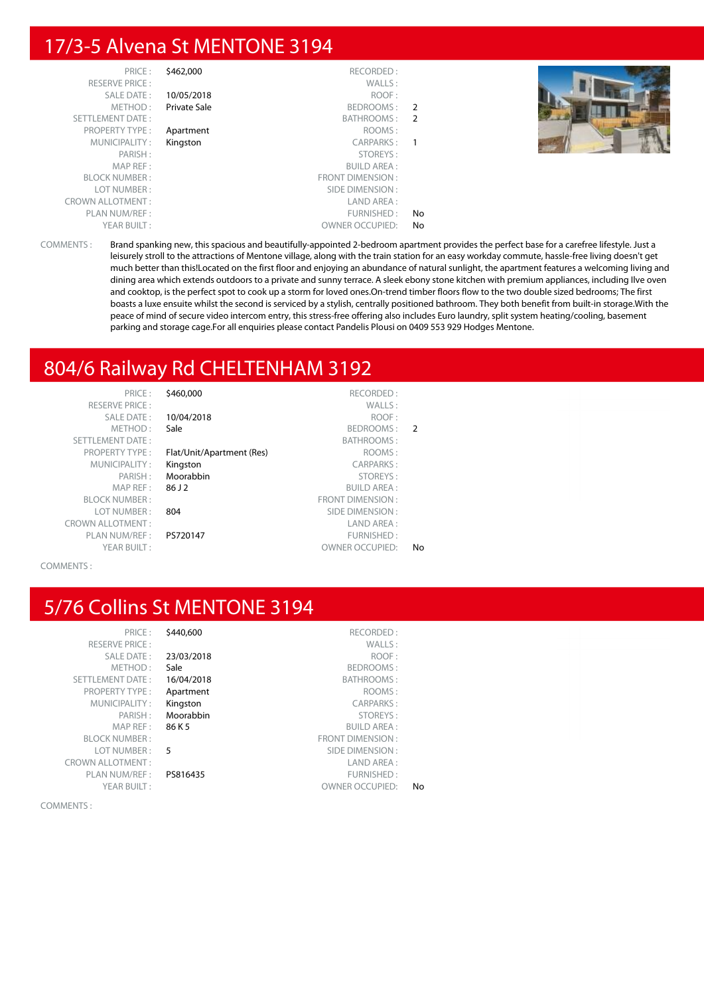#### 17/3-5 Alvena St MENTONE 3194

|               | \$462,000<br>RECORDED:       | PRICE:                  |
|---------------|------------------------------|-------------------------|
|               | WALLS:                       | <b>RESERVE PRICE:</b>   |
|               | 10/05/2018<br>ROOF:          | <b>SALE DATE:</b>       |
| $\mathcal{P}$ | Private Sale<br>BEDROOMS:    | METHOD:                 |
| 2             | BATHROOMS:                   | <b>SETTLEMENT DATE:</b> |
|               | ROOMS:<br>Apartment          | <b>PROPERTY TYPE:</b>   |
|               | <b>CARPARKS:</b><br>Kingston | MUNICIPALITY:           |
|               | STOREYS:                     | PARISH:                 |
|               | <b>BUILD AREA:</b>           | MAP REF:                |
|               | FRONT DIMENSION:             | <b>BLOCK NUMBER:</b>    |
|               | SIDE DIMENSION:              | LOT NUMBER:             |
|               | LAND AREA:                   | <b>CROWN ALLOTMENT:</b> |
| No            | FURNISHED:                   | PLAN NUM/REF:           |
| No            | <b>OWNER OCCUPIED:</b>       | YEAR BUILT:             |



COMMENTS : Brand spanking new, this spacious and beautifully-appointed 2-bedroom apartment provides the perfect base for a carefree lifestyle. Just a leisurely stroll to the attractions of Mentone village, along with the train station for an easy workday commute, hassle-free living doesn't get much better than this!Located on the first floor and enjoying an abundance of natural sunlight, the apartment features a welcoming living and dining area which extends outdoors to a private and sunny terrace. A sleek ebony stone kitchen with premium appliances, including Ilve oven and cooktop, is the perfect spot to cook up a storm for loved ones.On-trend timber floors flow to the two double sized bedrooms; The first boasts a luxe ensuite whilst the second is serviced by a stylish, centrally positioned bathroom. They both benefit from built-in storage.With the peace of mind of secure video intercom entry, this stress-free offering also includes Euro laundry, split system heating/cooling, basement parking and storage cage.For all enquiries please contact Pandelis Plousi on 0409 553 929 Hodges Mentone.

CARPARKS :

OWNER OCCUPIED: No

#### 804/6 Railway Rd CHELTENHAM 3192

RESERVE PRICE : SALE DATE: SETTLEMENT DATE: PROPERTY TYPE : MUNICIPALITY: MAP REF : BLOCK NUMBER: LOT NUMBER : CROWN ALLOTMENT: PLAN NUM/REF :

| PRICE:               | \$460,000                 | RECORDED:               |               |
|----------------------|---------------------------|-------------------------|---------------|
| <b>SERVE PRICE :</b> |                           | WALLS:                  |               |
| SALE DATE:           | 10/04/2018                | ROOF:                   |               |
| METHOD:              | Sale                      | BEDROOMS:               | $\mathcal{P}$ |
| MENT DATE:           |                           | BATHROOMS:              |               |
| PERTY TYPE:          | Flat/Unit/Apartment (Res) | ROOMS:                  |               |
| JNICIPALITY:         | Kingston                  | <b>CARPARKS:</b>        |               |
| PARISH:              | Moorabbin                 | STOREYS:                |               |
| MAP REF:             | 86 J 2                    | <b>BUILD AREA:</b>      |               |
| CK NUMBER :          |                           | <b>FRONT DIMENSION:</b> |               |
| OT NUMBER :          | 804                       | SIDE DIMENSION:         |               |
| ALLOTMENT:           |                           | LAND AREA:              |               |
| N NUM/REF :          | PS720147                  | FURNISHED:              |               |
| YEAR BUILT:          |                           | <b>OWNER OCCUPIED:</b>  | No            |

COMMENTS :

#### 5/76 Collins St MENTONE 3194

| PRIU F                  |  |
|-------------------------|--|
| RFSFRVF PRICF:          |  |
| SAI F DATF:             |  |
| MFTHOD:                 |  |
| <b>SETTLEMENT DATE:</b> |  |
| <b>PROPERTY TYPE:</b>   |  |
| MUNICIPALITY:           |  |
| PARISH:                 |  |
| MAP RFF:                |  |
| <b>BI OCK NUMBER :</b>  |  |
| I OT NUMBER :           |  |
| $\cap$ ROWN ALLOTMENT : |  |
| PLAN NUM/REF :          |  |
| YFAR BUILT:             |  |
|                         |  |

PRICE : \$440,600 RECORDED :<br>PRICE : WALLS : RESERVE PRICE : WALLS : SALE DATE : 23/03/2018 ROOF : BEDROOMS: **16/04/2018** BATHROOMS : Apartment ROOMS : ROOMS :<br>
Ringston CARPARKS : Moorabbin STOREYS : 86 K 5 BUILD AREA : FRONT DIMENSION : SIDE DIMENSION : CROWN ALLOTMENT :  $\begin{array}{ccc} \textsf{LRND} & \textsf{AREA} : \\ \textsf{PLAN NUM/REF} : & \textsf{PS816435} \end{array}$ FURNISHED :

COMMENTS :